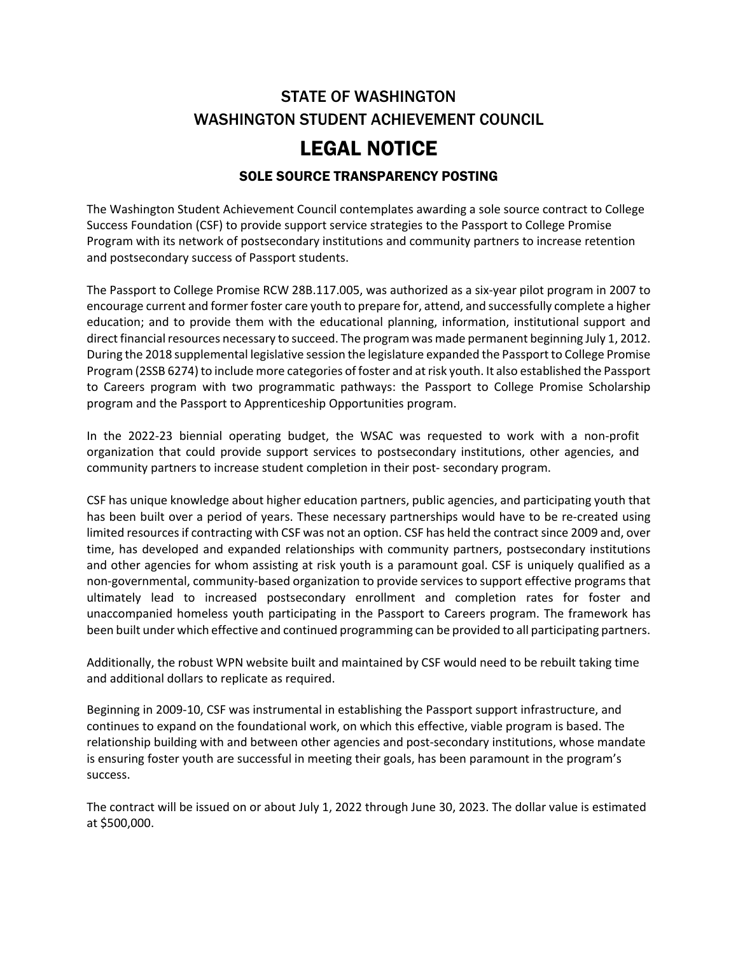# STATE OF WASHINGTON WASHINGTON STUDENT ACHIEVEMENT COUNCIL

# LEGAL NOTICE

#### SOLE SOURCE TRANSPARENCY POSTING

The Washington Student Achievement Council contemplates awarding a sole source contract to College Success Foundation (CSF) to provide support service strategies to the Passport to College Promise Program with its network of postsecondary institutions and community partners to increase retention and postsecondary success of Passport students.

The Passport to College Promise RCW 28B.117.005, was authorized as a six-year pilot program in 2007 to encourage current and former foster care youth to prepare for, attend, and successfully complete a higher education; and to provide them with the educational planning, information, institutional support and direct financial resources necessary to succeed. The program was made permanent beginning July 1, 2012. During the 2018 supplemental legislative session the legislature expanded the Passport to College Promise Program (2SSB 6274) to include more categories of foster and at risk youth. It also established the Passport to Careers program with two programmatic pathways: the Passport to College Promise Scholarship program and the Passport to Apprenticeship Opportunities program.

In the 2022-23 biennial operating budget, the WSAC was requested to work with a non-profit organization that could provide support services to postsecondary institutions, other agencies, and community partners to increase student completion in their post- secondary program.

CSF has unique knowledge about higher education partners, public agencies, and participating youth that has been built over a period of years. These necessary partnerships would have to be re-created using limited resources if contracting with CSF was not an option. CSF has held the contract since 2009 and, over time, has developed and expanded relationships with community partners, postsecondary institutions and other agencies for whom assisting at risk youth is a paramount goal. CSF is uniquely qualified as a non-governmental, community-based organization to provide services to support effective programs that ultimately lead to increased postsecondary enrollment and completion rates for foster and unaccompanied homeless youth participating in the Passport to Careers program. The framework has been built under which effective and continued programming can be provided to all participating partners.

Additionally, the robust WPN website built and maintained by CSF would need to be rebuilt taking time and additional dollars to replicate as required.

Beginning in 2009-10, CSF was instrumental in establishing the Passport support infrastructure, and continues to expand on the foundational work, on which this effective, viable program is based. The relationship building with and between other agencies and post-secondary institutions, whose mandate is ensuring foster youth are successful in meeting their goals, has been paramount in the program's success.

The contract will be issued on or about July 1, 2022 through June 30, 2023. The dollar value is estimated at \$500,000.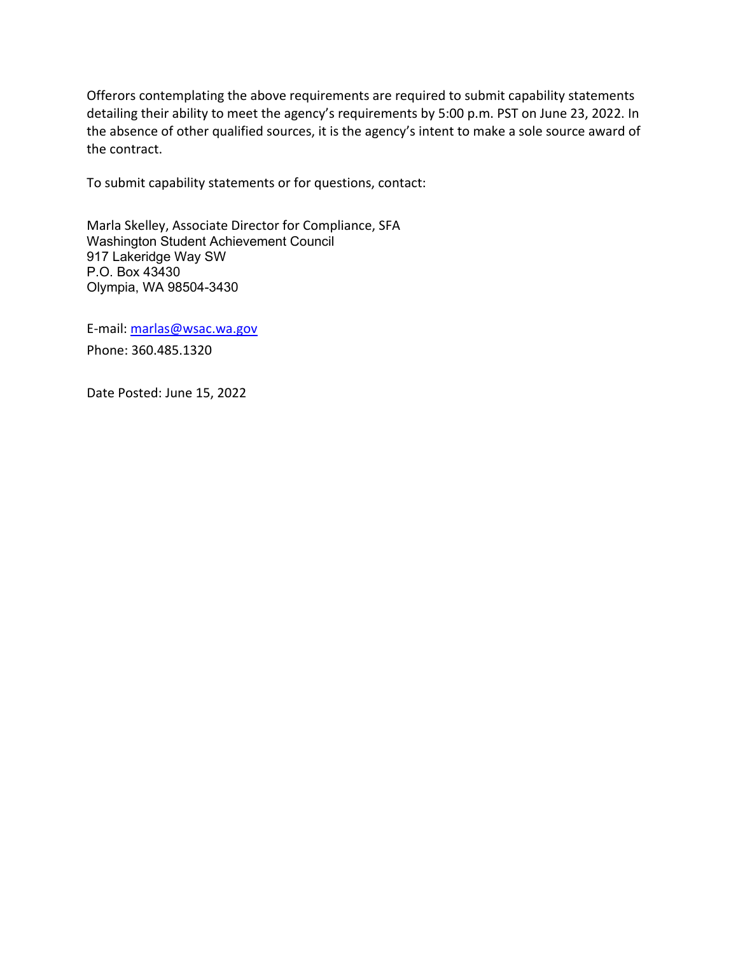Offerors contemplating the above requirements are required to submit capability statements detailing their ability to meet the agency's requirements by 5:00 p.m. PST on June 23, 2022. In the absence of other qualified sources, it is the agency's intent to make a sole source award of the contract.

To submit capability statements or for questions, contact:

Marla Skelley, Associate Director for Compliance, SFA Washington Student Achievement Council 917 Lakeridge Way SW P.O. Box 43430 Olympia, WA 98504-3430

E-mail: [marlas@wsac.wa.gov](mailto:marlas@wsac.wa.gov) Phone: 360.485.1320

Date Posted: June 15, 2022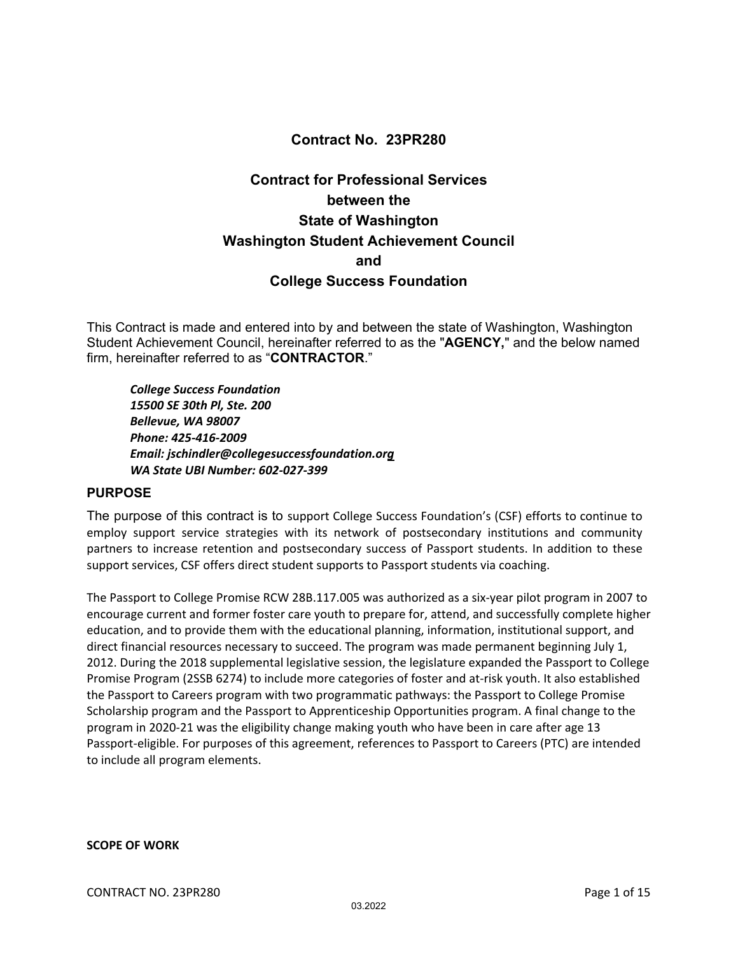#### **Contract No. 23PR280**

## **Contract for Professional Services between the State of Washington Washington Student Achievement Council and College Success Foundation**

This Contract is made and entered into by and between the state of Washington, Washington Student Achievement Council, hereinafter referred to as the "**AGENCY,**" and the below named firm, hereinafter referred to as "**CONTRACTOR**."

*College Success Foundation 15500 SE 30th Pl, Ste. 200 Bellevue, WA 98007 Phone: 425‐416‐2009 Email: jschindler@collegesuccessfoundation.org WA State UBI Number: 602‐027‐399*

#### **PURPOSE**

The purpose of this contract is to support College Success Foundation's (CSF) efforts to continue to employ support service strategies with its network of postsecondary institutions and community partners to increase retention and postsecondary success of Passport students. In addition to these support services, CSF offers direct student supports to Passport students via coaching.

The Passport to College Promise RCW 28B.117.005 was authorized as a six‐year pilot program in 2007 to encourage current and former foster care youth to prepare for, attend, and successfully complete higher education, and to provide them with the educational planning, information, institutional support, and direct financial resources necessary to succeed. The program was made permanent beginning July 1, 2012. During the 2018 supplemental legislative session, the legislature expanded the Passport to College Promise Program (2SSB 6274) to include more categories of foster and at‐risk youth. It also established the Passport to Careers program with two programmatic pathways: the Passport to College Promise Scholarship program and the Passport to Apprenticeship Opportunities program. A final change to the program in 2020‐21 was the eligibility change making youth who have been in care after age 13 Passport‐eligible. For purposes of this agreement, references to Passport to Careers (PTC) are intended to include all program elements.

**SCOPE OF WORK**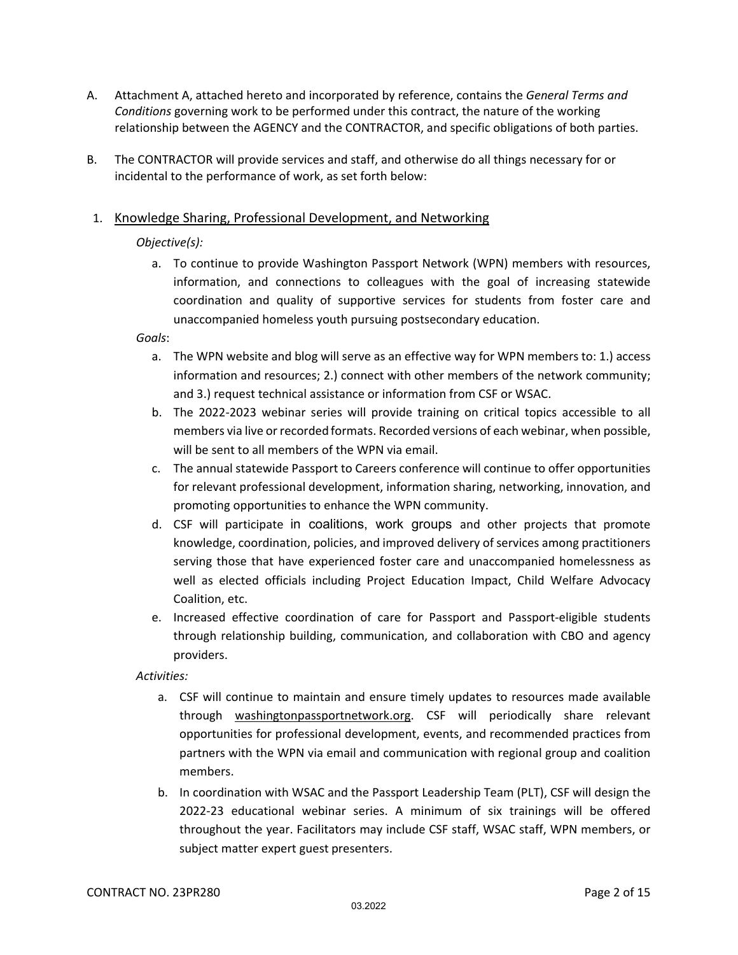- A. Attachment A, attached hereto and incorporated by reference, contains the *General Terms and Conditions* governing work to be performed under this contract, the nature of the working relationship between the AGENCY and the CONTRACTOR, and specific obligations of both parties.
- B. The CONTRACTOR will provide services and staff, and otherwise do all things necessary for or incidental to the performance of work, as set forth below:

#### 1. Knowledge Sharing, Professional Development, and Networking

#### *Objective(s):*

a. To continue to provide Washington Passport Network (WPN) members with resources, information, and connections to colleagues with the goal of increasing statewide coordination and quality of supportive services for students from foster care and unaccompanied homeless youth pursuing postsecondary education.

#### *Goals*:

- a. The WPN website and blog will serve as an effective way for WPN members to: 1.) access information and resources; 2.) connect with other members of the network community; and 3.) request technical assistance or information from CSF or WSAC.
- b. The 2022‐2023 webinar series will provide training on critical topics accessible to all members via live or recorded formats. Recorded versions of each webinar, when possible, will be sent to all members of the WPN via email.
- c. The annual statewide Passport to Careers conference will continue to offer opportunities for relevant professional development, information sharing, networking, innovation, and promoting opportunities to enhance the WPN community.
- d. CSF will participate in coalitions, work groups and other projects that promote knowledge, coordination, policies, and improved delivery of services among practitioners serving those that have experienced foster care and unaccompanied homelessness as well as elected officials including Project Education Impact, Child Welfare Advocacy Coalition, etc.
- e. Increased effective coordination of care for Passport and Passport‐eligible students through relationship building, communication, and collaboration with CBO and agency providers.

- a. CSF will continue to maintain and ensure timely updates to resources made available through washingtonpassportnetwork.org. CSF will periodically share relevant opportunities for professional development, events, and recommended practices from partners with the WPN via email and communication with regional group and coalition members.
- b. In coordination with WSAC and the Passport Leadership Team (PLT), CSF will design the 2022‐23 educational webinar series. A minimum of six trainings will be offered throughout the year. Facilitators may include CSF staff, WSAC staff, WPN members, or subject matter expert guest presenters.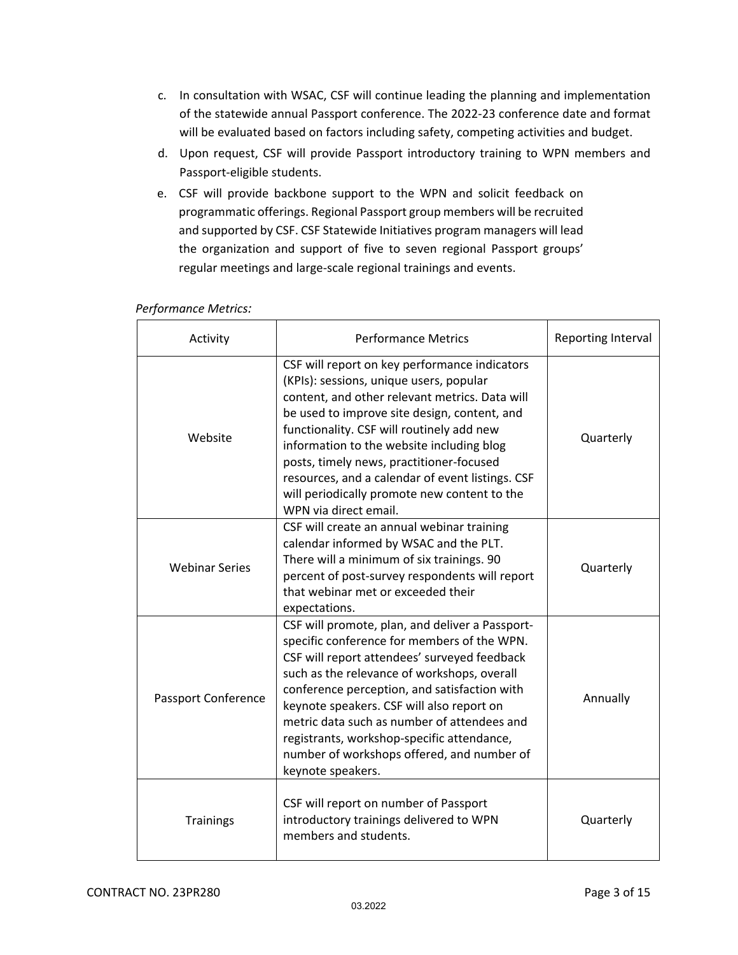- c. In consultation with WSAC, CSF will continue leading the planning and implementation of the statewide annual Passport conference. The 2022‐23 conference date and format will be evaluated based on factors including safety, competing activities and budget.
- d. Upon request, CSF will provide Passport introductory training to WPN members and Passport‐eligible students.
- e. CSF will provide backbone support to the WPN and solicit feedback on programmatic offerings. Regional Passport group members will be recruited and supported by CSF. CSF Statewide Initiatives program managers will lead the organization and support of five to seven regional Passport groups' regular meetings and large‐scale regional trainings and events.

| Activity                   | <b>Performance Metrics</b>                                                                                                                                                                                                                                                                                                                                                                                                                                    | Reporting Interval |
|----------------------------|---------------------------------------------------------------------------------------------------------------------------------------------------------------------------------------------------------------------------------------------------------------------------------------------------------------------------------------------------------------------------------------------------------------------------------------------------------------|--------------------|
| Website                    | CSF will report on key performance indicators<br>(KPIs): sessions, unique users, popular<br>content, and other relevant metrics. Data will<br>be used to improve site design, content, and<br>functionality. CSF will routinely add new<br>information to the website including blog<br>posts, timely news, practitioner-focused<br>resources, and a calendar of event listings. CSF<br>will periodically promote new content to the<br>WPN via direct email. | Quarterly          |
| <b>Webinar Series</b>      | CSF will create an annual webinar training<br>calendar informed by WSAC and the PLT.<br>There will a minimum of six trainings. 90<br>percent of post-survey respondents will report<br>that webinar met or exceeded their<br>expectations.                                                                                                                                                                                                                    | Quarterly          |
| <b>Passport Conference</b> | CSF will promote, plan, and deliver a Passport-<br>specific conference for members of the WPN.<br>CSF will report attendees' surveyed feedback<br>such as the relevance of workshops, overall<br>conference perception, and satisfaction with<br>keynote speakers. CSF will also report on<br>metric data such as number of attendees and<br>registrants, workshop-specific attendance,<br>number of workshops offered, and number of<br>keynote speakers.    | Annually           |
| <b>Trainings</b>           | CSF will report on number of Passport<br>introductory trainings delivered to WPN<br>members and students.                                                                                                                                                                                                                                                                                                                                                     | Quarterly          |

#### *Performance Metrics:*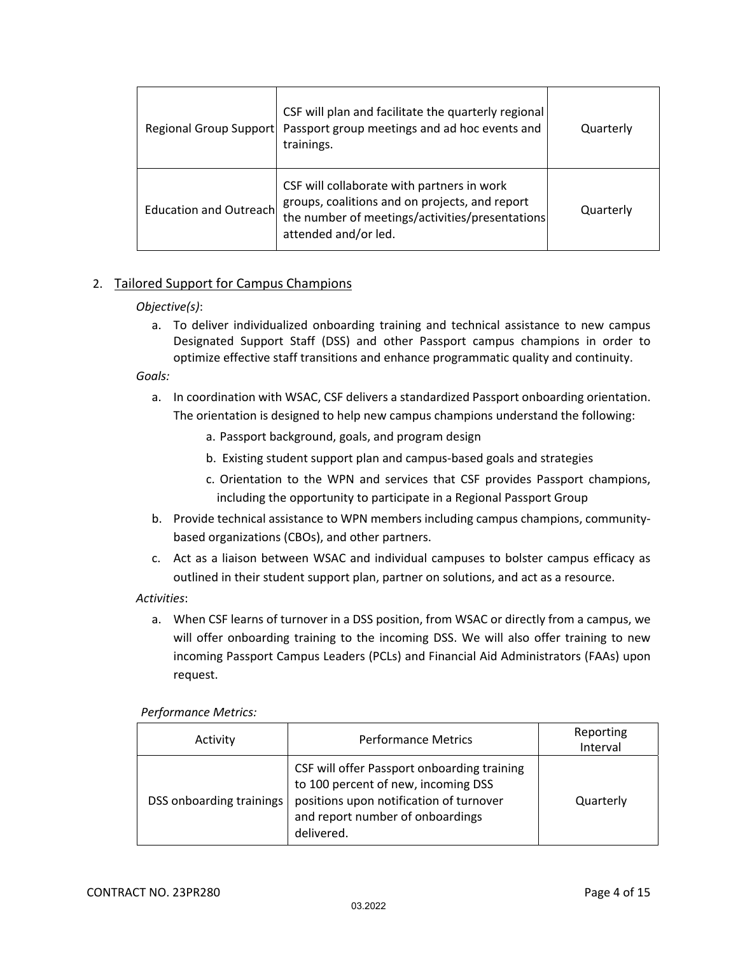| Regional Group Support | CSF will plan and facilitate the quarterly regional<br>Passport group meetings and ad hoc events and<br>trainings.                                                      | Quarterly |
|------------------------|-------------------------------------------------------------------------------------------------------------------------------------------------------------------------|-----------|
| Education and Outreach | CSF will collaborate with partners in work<br>groups, coalitions and on projects, and report<br>the number of meetings/activities/presentations<br>attended and/or led. | Quarterly |

#### 2. Tailored Support for Campus Champions

#### *Objective(s)*:

a. To deliver individualized onboarding training and technical assistance to new campus Designated Support Staff (DSS) and other Passport campus champions in order to optimize effective staff transitions and enhance programmatic quality and continuity.

*Goals:*

- a. In coordination with WSAC, CSF delivers a standardized Passport onboarding orientation. The orientation is designed to help new campus champions understand the following:
	- a. Passport background, goals, and program design
	- b. Existing student support plan and campus‐based goals and strategies
	- c. Orientation to the WPN and services that CSF provides Passport champions, including the opportunity to participate in a Regional Passport Group
- b. Provide technical assistance to WPN members including campus champions, community‐ based organizations (CBOs), and other partners.
- c. Act as a liaison between WSAC and individual campuses to bolster campus efficacy as outlined in their student support plan, partner on solutions, and act as a resource.

#### *Activities*:

a. When CSF learns of turnover in a DSS position, from WSAC or directly from a campus, we will offer onboarding training to the incoming DSS. We will also offer training to new incoming Passport Campus Leaders (PCLs) and Financial Aid Administrators (FAAs) upon request.

#### *Performance Metrics:*

| Activity                 | <b>Performance Metrics</b>                                                                                                                                                      | Reporting<br>Interval |
|--------------------------|---------------------------------------------------------------------------------------------------------------------------------------------------------------------------------|-----------------------|
| DSS onboarding trainings | CSF will offer Passport onboarding training<br>to 100 percent of new, incoming DSS<br>positions upon notification of turnover<br>and report number of onboardings<br>delivered. | Quarterly             |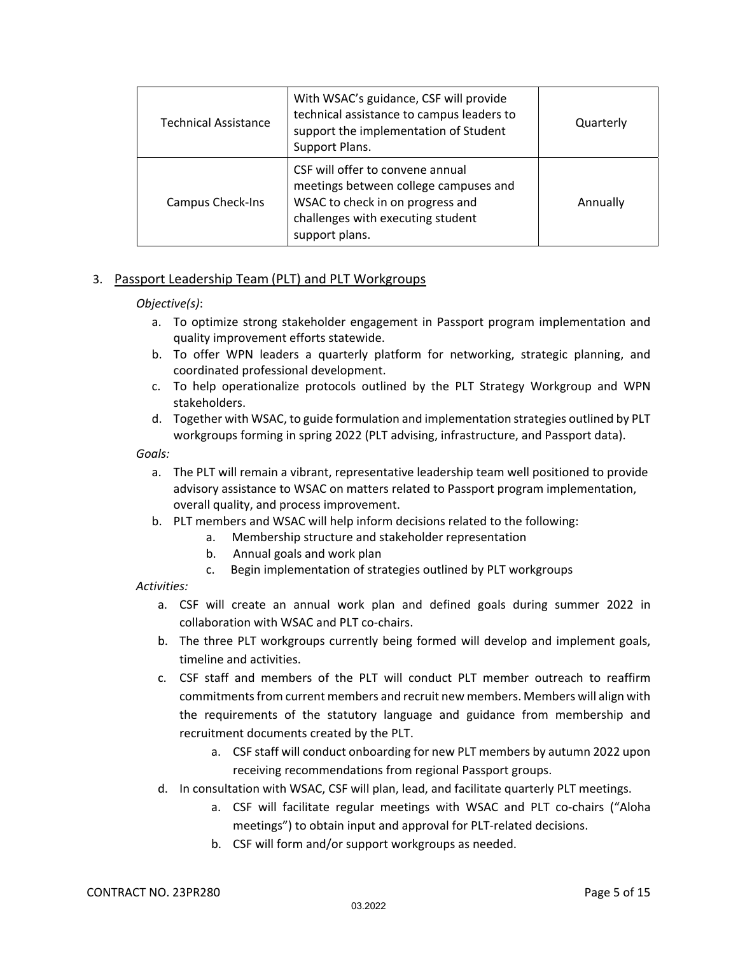| <b>Technical Assistance</b> | With WSAC's guidance, CSF will provide<br>technical assistance to campus leaders to<br>support the implementation of Student<br>Support Plans.                       | Quarterly |
|-----------------------------|----------------------------------------------------------------------------------------------------------------------------------------------------------------------|-----------|
| <b>Campus Check-Ins</b>     | CSF will offer to convene annual<br>meetings between college campuses and<br>WSAC to check in on progress and<br>challenges with executing student<br>support plans. | Annually  |

#### 3. Passport Leadership Team (PLT) and PLT Workgroups

#### *Objective(s)*:

- a. To optimize strong stakeholder engagement in Passport program implementation and quality improvement efforts statewide.
- b. To offer WPN leaders a quarterly platform for networking, strategic planning, and coordinated professional development.
- c. To help operationalize protocols outlined by the PLT Strategy Workgroup and WPN stakeholders.
- d. Together with WSAC, to guide formulation and implementation strategies outlined by PLT workgroups forming in spring 2022 (PLT advising, infrastructure, and Passport data).

*Goals:*

- a. The PLT will remain a vibrant, representative leadership team well positioned to provide advisory assistance to WSAC on matters related to Passport program implementation, overall quality, and process improvement.
- b. PLT members and WSAC will help inform decisions related to the following:
	- a. Membership structure and stakeholder representation
	- b. Annual goals and work plan
	- c. Begin implementation of strategies outlined by PLT workgroups

- a. CSF will create an annual work plan and defined goals during summer 2022 in collaboration with WSAC and PLT co‐chairs.
- b. The three PLT workgroups currently being formed will develop and implement goals, timeline and activities.
- c. CSF staff and members of the PLT will conduct PLT member outreach to reaffirm commitments from current members and recruit new members. Members will align with the requirements of the statutory language and guidance from membership and recruitment documents created by the PLT.
	- a. CSF staff will conduct onboarding for new PLT members by autumn 2022 upon receiving recommendations from regional Passport groups.
- d. In consultation with WSAC, CSF will plan, lead, and facilitate quarterly PLT meetings.
	- a. CSF will facilitate regular meetings with WSAC and PLT co-chairs ("Aloha meetings") to obtain input and approval for PLT‐related decisions.
	- b. CSF will form and/or support workgroups as needed.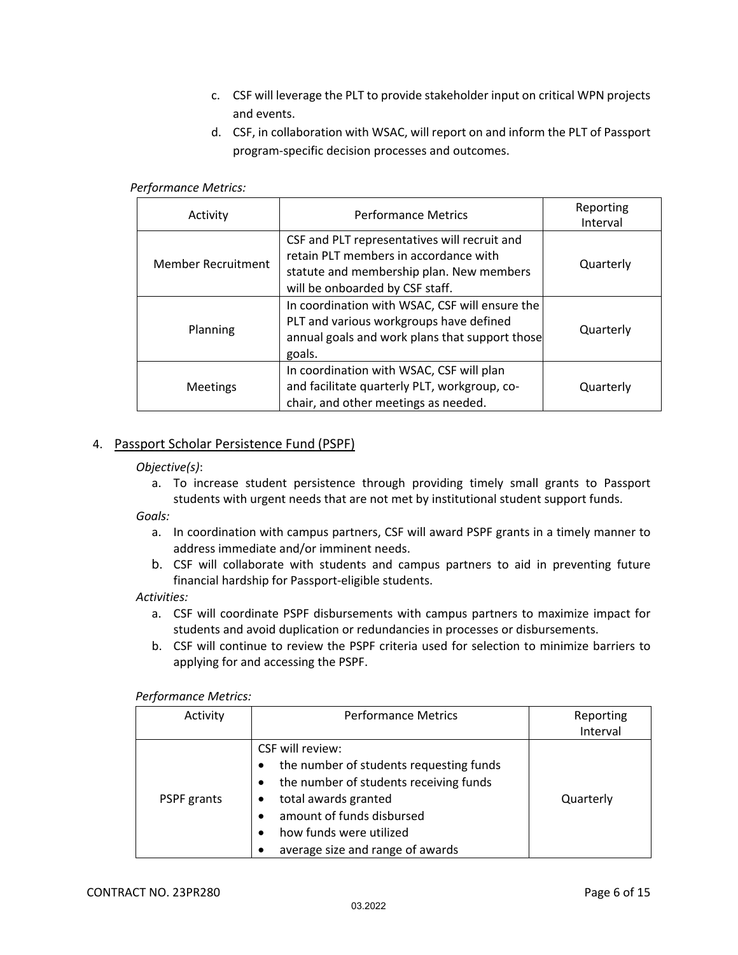- c. CSF will leverage the PLT to provide stakeholder input on critical WPN projects and events.
- d. CSF, in collaboration with WSAC, will report on and inform the PLT of Passport program‐specific decision processes and outcomes.

#### *Performance Metrics:*

| Activity                  | <b>Performance Metrics</b>                                                                                                                                           | Reporting<br>Interval |
|---------------------------|----------------------------------------------------------------------------------------------------------------------------------------------------------------------|-----------------------|
| <b>Member Recruitment</b> | CSF and PLT representatives will recruit and<br>retain PLT members in accordance with<br>statute and membership plan. New members<br>will be onboarded by CSF staff. | Quarterly             |
| Planning                  | In coordination with WSAC, CSF will ensure the<br>PLT and various workgroups have defined<br>annual goals and work plans that support those<br>goals.                | Quarterly             |
| <b>Meetings</b>           | In coordination with WSAC, CSF will plan<br>and facilitate quarterly PLT, workgroup, co-<br>chair, and other meetings as needed.                                     | Quarterly             |

#### 4. Passport Scholar Persistence Fund (PSPF)

#### *Objective(s)*:

a. To increase student persistence through providing timely small grants to Passport students with urgent needs that are not met by institutional student support funds.

*Goals:*

- a. In coordination with campus partners, CSF will award PSPF grants in a timely manner to address immediate and/or imminent needs.
- b. CSF will collaborate with students and campus partners to aid in preventing future financial hardship for Passport‐eligible students.

- a. CSF will coordinate PSPF disbursements with campus partners to maximize impact for students and avoid duplication or redundancies in processes or disbursements.
- b. CSF will continue to review the PSPF criteria used for selection to minimize barriers to applying for and accessing the PSPF.

| Activity    | <b>Performance Metrics</b>                                                                                                                                                                                                | Reporting<br>Interval |
|-------------|---------------------------------------------------------------------------------------------------------------------------------------------------------------------------------------------------------------------------|-----------------------|
| PSPF grants | CSF will review:<br>the number of students requesting funds<br>the number of students receiving funds<br>total awards granted<br>amount of funds disbursed<br>how funds were utilized<br>average size and range of awards | Quarterly             |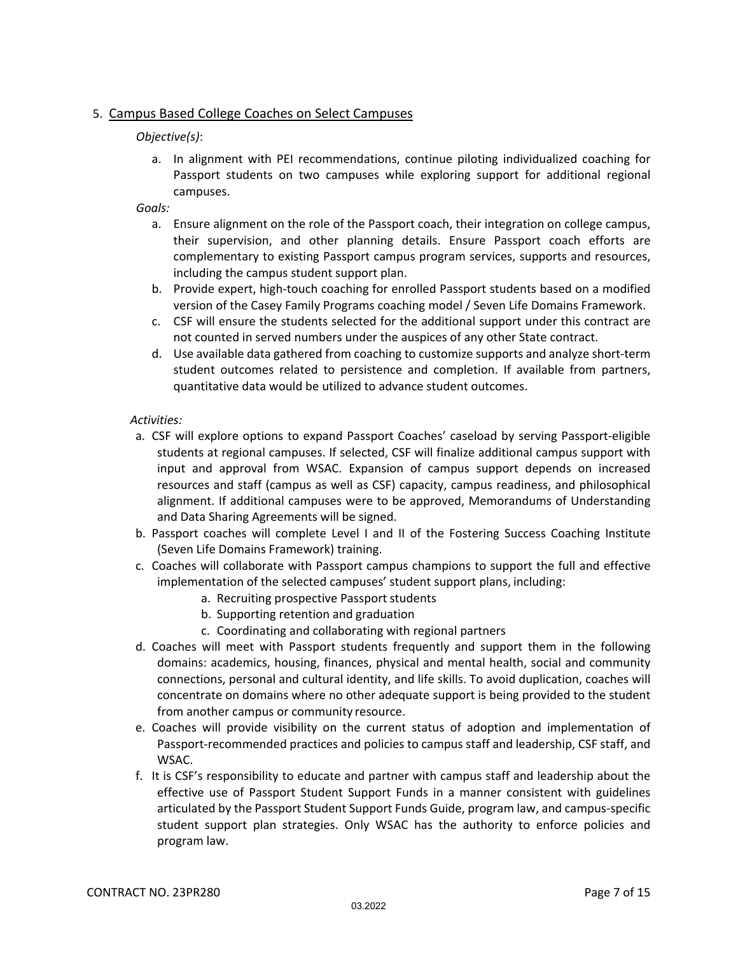#### 5. Campus Based College Coaches on Select Campuses

#### *Objective(s)*:

a. In alignment with PEI recommendations, continue piloting individualized coaching for Passport students on two campuses while exploring support for additional regional campuses.

#### *Goals:*

- a. Ensure alignment on the role of the Passport coach, their integration on college campus, their supervision, and other planning details. Ensure Passport coach efforts are complementary to existing Passport campus program services, supports and resources, including the campus student support plan.
- b. Provide expert, high‐touch coaching for enrolled Passport students based on a modified version of the Casey Family Programs coaching model / Seven Life Domains Framework.
- c. CSF will ensure the students selected for the additional support under this contract are not counted in served numbers under the auspices of any other State contract.
- d. Use available data gathered from coaching to customize supports and analyze short‐term student outcomes related to persistence and completion. If available from partners, quantitative data would be utilized to advance student outcomes.

- a. CSF will explore options to expand Passport Coaches' caseload by serving Passport‐eligible students at regional campuses. If selected, CSF will finalize additional campus support with input and approval from WSAC. Expansion of campus support depends on increased resources and staff (campus as well as CSF) capacity, campus readiness, and philosophical alignment. If additional campuses were to be approved, Memorandums of Understanding and Data Sharing Agreements will be signed.
- b. Passport coaches will complete Level I and II of the Fostering Success Coaching Institute (Seven Life Domains Framework) training.
- c. Coaches will collaborate with Passport campus champions to support the full and effective implementation of the selected campuses' student support plans, including:
	- a. Recruiting prospective Passport students
	- b. Supporting retention and graduation
	- c. Coordinating and collaborating with regional partners
- d. Coaches will meet with Passport students frequently and support them in the following domains: academics, housing, finances, physical and mental health, social and community connections, personal and cultural identity, and life skills. To avoid duplication, coaches will concentrate on domains where no other adequate support is being provided to the student from another campus or community resource.
- e. Coaches will provide visibility on the current status of adoption and implementation of Passport‐recommended practices and policies to campus staff and leadership, CSF staff, and WSAC.
- f. It is CSF's responsibility to educate and partner with campus staff and leadership about the effective use of Passport Student Support Funds in a manner consistent with guidelines articulated by the Passport Student Support Funds Guide, program law, and campus‐specific student support plan strategies. Only WSAC has the authority to enforce policies and program law.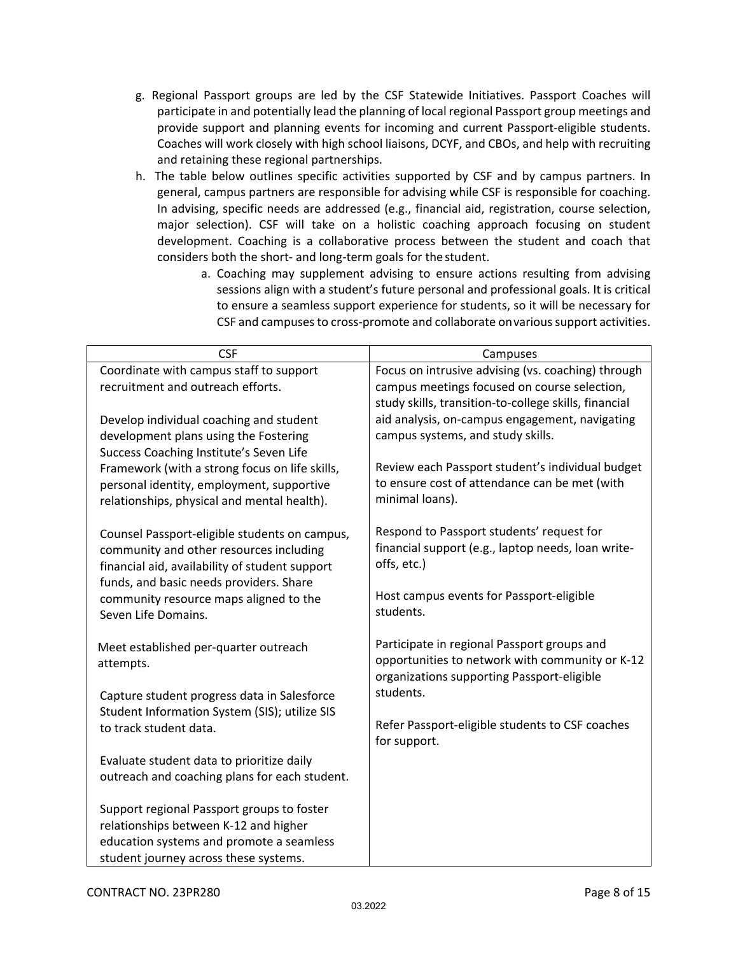- g. Regional Passport groups are led by the CSF Statewide Initiatives. Passport Coaches will participate in and potentially lead the planning of local regional Passport group meetings and provide support and planning events for incoming and current Passport‐eligible students. Coaches will work closely with high school liaisons, DCYF, and CBOs, and help with recruiting and retaining these regional partnerships.
- h. The table below outlines specific activities supported by CSF and by campus partners. In general, campus partners are responsible for advising while CSF is responsible for coaching. In advising, specific needs are addressed (e.g., financial aid, registration, course selection, major selection). CSF will take on a holistic coaching approach focusing on student development. Coaching is a collaborative process between the student and coach that considers both the short‐ and long‐term goals for thestudent.
	- a. Coaching may supplement advising to ensure actions resulting from advising sessions align with a student's future personal and professional goals. It is critical to ensure a seamless support experience for students, so it will be necessary for CSF and campusesto cross‐promote and collaborate onvarioussupport activities.

| <b>CSF</b>                                                                               | Campuses                                                        |
|------------------------------------------------------------------------------------------|-----------------------------------------------------------------|
| Coordinate with campus staff to support                                                  | Focus on intrusive advising (vs. coaching) through              |
| recruitment and outreach efforts.                                                        | campus meetings focused on course selection,                    |
|                                                                                          | study skills, transition-to-college skills, financial           |
| Develop individual coaching and student                                                  | aid analysis, on-campus engagement, navigating                  |
| development plans using the Fostering                                                    | campus systems, and study skills.                               |
| Success Coaching Institute's Seven Life                                                  |                                                                 |
| Framework (with a strong focus on life skills,                                           | Review each Passport student's individual budget                |
| personal identity, employment, supportive                                                | to ensure cost of attendance can be met (with                   |
| relationships, physical and mental health).                                              | minimal loans).                                                 |
|                                                                                          | Respond to Passport students' request for                       |
| Counsel Passport-eligible students on campus,<br>community and other resources including | financial support (e.g., laptop needs, loan write-              |
| financial aid, availability of student support                                           | offs, etc.)                                                     |
| funds, and basic needs providers. Share                                                  |                                                                 |
| community resource maps aligned to the                                                   | Host campus events for Passport-eligible                        |
| Seven Life Domains.                                                                      | students.                                                       |
|                                                                                          |                                                                 |
| Meet established per-quarter outreach                                                    | Participate in regional Passport groups and                     |
| attempts.                                                                                | opportunities to network with community or K-12                 |
|                                                                                          | organizations supporting Passport-eligible                      |
| Capture student progress data in Salesforce                                              | students.                                                       |
| Student Information System (SIS); utilize SIS                                            |                                                                 |
| to track student data.                                                                   | Refer Passport-eligible students to CSF coaches<br>for support. |
|                                                                                          |                                                                 |
| Evaluate student data to prioritize daily                                                |                                                                 |
| outreach and coaching plans for each student.                                            |                                                                 |
| Support regional Passport groups to foster                                               |                                                                 |
| relationships between K-12 and higher                                                    |                                                                 |
| education systems and promote a seamless                                                 |                                                                 |
| student journey across these systems.                                                    |                                                                 |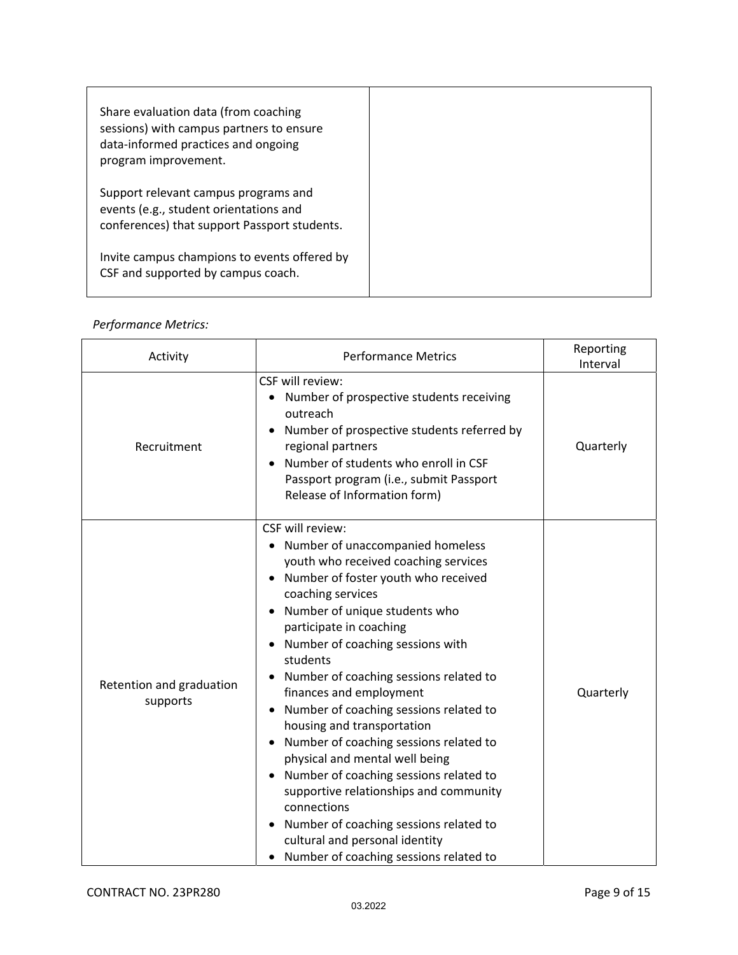| Share evaluation data (from coaching<br>sessions) with campus partners to ensure<br>data-informed practices and ongoing<br>program improvement. |
|-------------------------------------------------------------------------------------------------------------------------------------------------|
| Support relevant campus programs and<br>events (e.g., student orientations and<br>conferences) that support Passport students.                  |
| Invite campus champions to events offered by<br>CSF and supported by campus coach.                                                              |

#### *Performance Metrics:*

| Activity                             | <b>Performance Metrics</b>                                                                                                                                                                                                                                                                                                                                                                                                                                                                                                                                                                                                                                                                                                                                                                           | Reporting<br>Interval |
|--------------------------------------|------------------------------------------------------------------------------------------------------------------------------------------------------------------------------------------------------------------------------------------------------------------------------------------------------------------------------------------------------------------------------------------------------------------------------------------------------------------------------------------------------------------------------------------------------------------------------------------------------------------------------------------------------------------------------------------------------------------------------------------------------------------------------------------------------|-----------------------|
| Recruitment                          | CSF will review:<br>Number of prospective students receiving<br>outreach<br>Number of prospective students referred by<br>regional partners<br>Number of students who enroll in CSF<br>Passport program (i.e., submit Passport<br>Release of Information form)                                                                                                                                                                                                                                                                                                                                                                                                                                                                                                                                       | Quarterly             |
| Retention and graduation<br>supports | CSF will review:<br>Number of unaccompanied homeless<br>$\bullet$<br>youth who received coaching services<br>Number of foster youth who received<br>$\bullet$<br>coaching services<br>Number of unique students who<br>participate in coaching<br>Number of coaching sessions with<br>$\bullet$<br>students<br>Number of coaching sessions related to<br>finances and employment<br>Number of coaching sessions related to<br>$\bullet$<br>housing and transportation<br>Number of coaching sessions related to<br>$\bullet$<br>physical and mental well being<br>Number of coaching sessions related to<br>$\bullet$<br>supportive relationships and community<br>connections<br>Number of coaching sessions related to<br>cultural and personal identity<br>Number of coaching sessions related to | Quarterly             |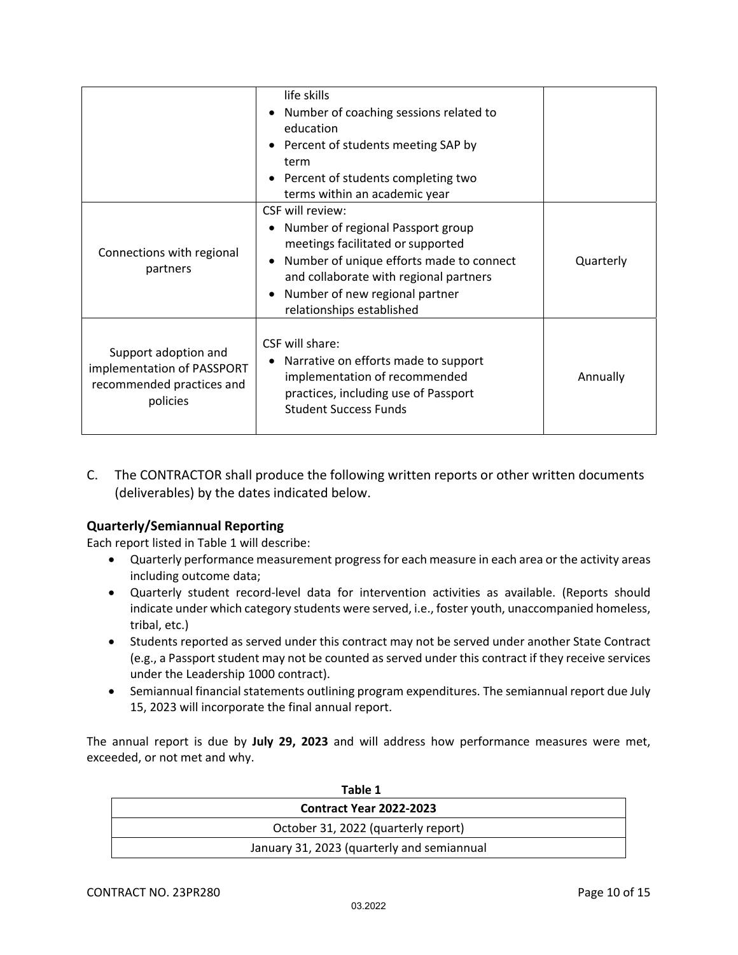|                                                                                             | life skills<br>Number of coaching sessions related to<br>education<br>• Percent of students meeting SAP by<br>term<br>• Percent of students completing two<br>terms within an academic year                                                     |           |
|---------------------------------------------------------------------------------------------|-------------------------------------------------------------------------------------------------------------------------------------------------------------------------------------------------------------------------------------------------|-----------|
| Connections with regional<br>partners                                                       | CSF will review:<br>Number of regional Passport group<br>meetings facilitated or supported<br>Number of unique efforts made to connect<br>and collaborate with regional partners<br>Number of new regional partner<br>relationships established | Quarterly |
| Support adoption and<br>implementation of PASSPORT<br>recommended practices and<br>policies | CSF will share:<br>Narrative on efforts made to support<br>implementation of recommended<br>practices, including use of Passport<br><b>Student Success Funds</b>                                                                                | Annually  |

C. The CONTRACTOR shall produce the following written reports or other written documents (deliverables) by the dates indicated below.

#### **Quarterly/Semiannual Reporting**

Each report listed in Table 1 will describe:

- Quarterly performance measurement progressfor each measure in each area or the activity areas including outcome data;
- Quarterly student record‐level data for intervention activities as available. (Reports should indicate under which category students were served, i.e., foster youth, unaccompanied homeless, tribal, etc.)
- Students reported as served under this contract may not be served under another State Contract (e.g., a Passport student may not be counted as served under this contract if they receive services under the Leadership 1000 contract).
- Semiannual financial statements outlining program expenditures. The semiannual report due July 15, 2023 will incorporate the final annual report.

The annual report is due by **July 29, 2023** and will address how performance measures were met, exceeded, or not met and why.

| Table 1                                    |
|--------------------------------------------|
| <b>Contract Year 2022-2023</b>             |
| October 31, 2022 (quarterly report)        |
| January 31, 2023 (quarterly and semiannual |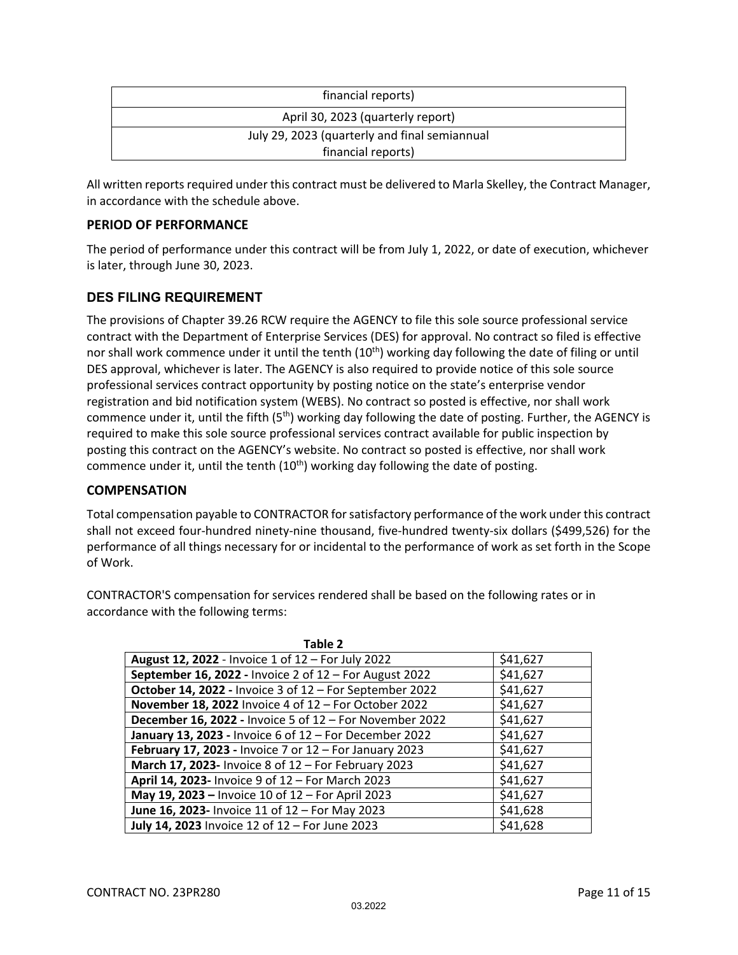| financial reports)                            |
|-----------------------------------------------|
| April 30, 2023 (quarterly report)             |
| July 29, 2023 (quarterly and final semiannual |
| financial reports)                            |

All written reports required under this contract must be delivered to Marla Skelley, the Contract Manager, in accordance with the schedule above.

#### **PERIOD OF PERFORMANCE**

The period of performance under this contract will be from July 1, 2022, or date of execution, whichever is later, through June 30, 2023.

#### **DES FILING REQUIREMENT**

The provisions of Chapter 39.26 RCW require the AGENCY to file this sole source professional service contract with the Department of Enterprise Services (DES) for approval. No contract so filed is effective nor shall work commence under it until the tenth  $(10<sup>th</sup>)$  working day following the date of filing or until DES approval, whichever is later. The AGENCY is also required to provide notice of this sole source professional services contract opportunity by posting notice on the state's enterprise vendor registration and bid notification system (WEBS). No contract so posted is effective, nor shall work commence under it, until the fifth (5<sup>th</sup>) working day following the date of posting. Further, the AGENCY is required to make this sole source professional services contract available for public inspection by posting this contract on the AGENCY's website. No contract so posted is effective, nor shall work commence under it, until the tenth  $(10<sup>th</sup>)$  working day following the date of posting.

#### **COMPENSATION**

Total compensation payable to CONTRACTOR for satisfactory performance of the work under this contract shall not exceed four‐hundred ninety‐nine thousand, five‐hundred twenty‐six dollars (\$499,526) for the performance of all things necessary for or incidental to the performance of work as set forth in the Scope of Work.

CONTRACTOR'S compensation for services rendered shall be based on the following rates or in accordance with the following terms:

| Table 2                                                 |          |
|---------------------------------------------------------|----------|
| August 12, 2022 - Invoice 1 of 12 - For July 2022       | \$41,627 |
| September 16, 2022 - Invoice 2 of 12 - For August 2022  | \$41,627 |
| October 14, 2022 - Invoice 3 of 12 - For September 2022 | \$41,627 |
| November 18, 2022 Invoice 4 of 12 - For October 2022    | \$41,627 |
| December 16, 2022 - Invoice 5 of 12 - For November 2022 | \$41,627 |
| January 13, 2023 - Invoice 6 of 12 - For December 2022  | \$41,627 |
| February 17, 2023 - Invoice 7 or 12 - For January 2023  | \$41,627 |
| March 17, 2023- Invoice 8 of 12 - For February 2023     | \$41,627 |
| April 14, 2023- Invoice 9 of 12 - For March 2023        | \$41,627 |
| May 19, 2023 - Invoice 10 of 12 - For April 2023        | \$41,627 |
| June 16, 2023- Invoice 11 of 12 - For May 2023          | \$41,628 |
| July 14, 2023 Invoice 12 of 12 - For June 2023          | \$41,628 |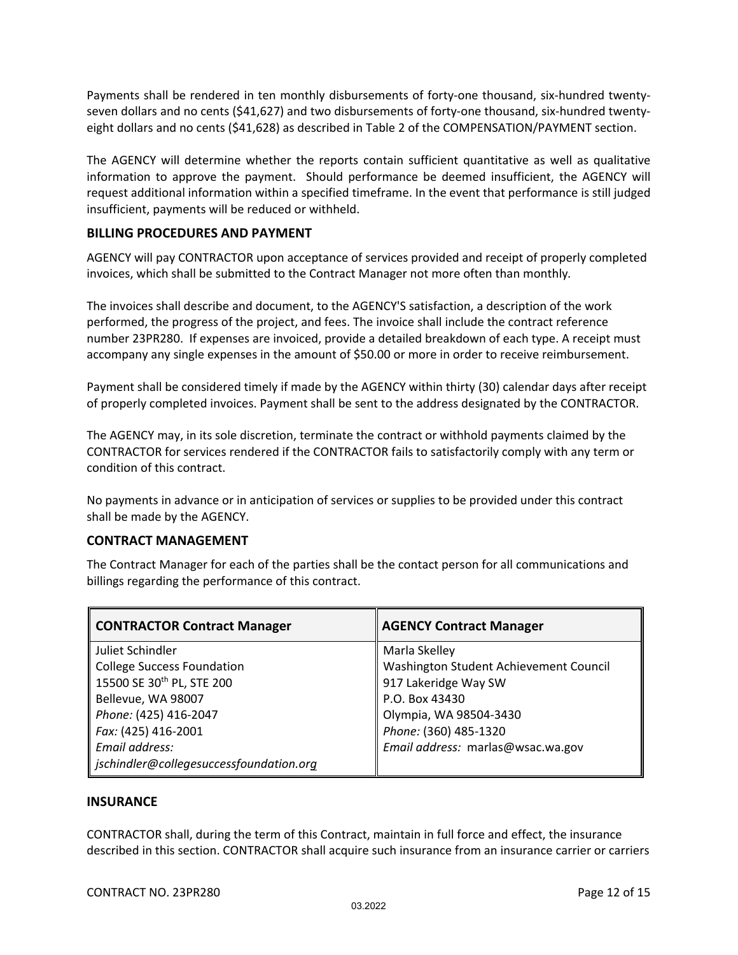Payments shall be rendered in ten monthly disbursements of forty‐one thousand, six‐hundred twenty‐ seven dollars and no cents (\$41,627) and two disbursements of forty-one thousand, six-hundred twentyeight dollars and no cents (\$41,628) as described in Table 2 of the COMPENSATION/PAYMENT section.

The AGENCY will determine whether the reports contain sufficient quantitative as well as qualitative information to approve the payment. Should performance be deemed insufficient, the AGENCY will request additional information within a specified timeframe. In the event that performance is still judged insufficient, payments will be reduced or withheld.

#### **BILLING PROCEDURES AND PAYMENT**

AGENCY will pay CONTRACTOR upon acceptance of services provided and receipt of properly completed invoices, which shall be submitted to the Contract Manager not more often than monthly*.*

The invoices shall describe and document, to the AGENCY'S satisfaction, a description of the work performed, the progress of the project, and fees. The invoice shall include the contract reference number 23PR280. If expenses are invoiced, provide a detailed breakdown of each type. A receipt must accompany any single expenses in the amount of \$50.00 or more in order to receive reimbursement.

Payment shall be considered timely if made by the AGENCY within thirty (30) calendar days after receipt of properly completed invoices. Payment shall be sent to the address designated by the CONTRACTOR.

The AGENCY may, in its sole discretion, terminate the contract or withhold payments claimed by the CONTRACTOR for services rendered if the CONTRACTOR fails to satisfactorily comply with any term or condition of this contract.

No payments in advance or in anticipation of services or supplies to be provided under this contract shall be made by the AGENCY.

#### **CONTRACT MANAGEMENT**

The Contract Manager for each of the parties shall be the contact person for all communications and billings regarding the performance of this contract.

| <b>CONTRACTOR Contract Manager</b>      | <b>AGENCY Contract Manager</b>         |
|-----------------------------------------|----------------------------------------|
| Juliet Schindler                        | Marla Skelley                          |
| <b>College Success Foundation</b>       | Washington Student Achievement Council |
| 15500 SE 30 <sup>th</sup> PL, STE 200   | 917 Lakeridge Way SW                   |
| Bellevue, WA 98007                      | P.O. Box 43430                         |
| Phone: (425) 416-2047                   | Olympia, WA 98504-3430                 |
| Fax: (425) 416-2001                     | Phone: (360) 485-1320                  |
| Email address:                          | Email address: marlas@wsac.wa.gov      |
| jschindler@collegesuccessfoundation.org |                                        |

#### **INSURANCE**

CONTRACTOR shall, during the term of this Contract, maintain in full force and effect, the insurance described in this section. CONTRACTOR shall acquire such insurance from an insurance carrier or carriers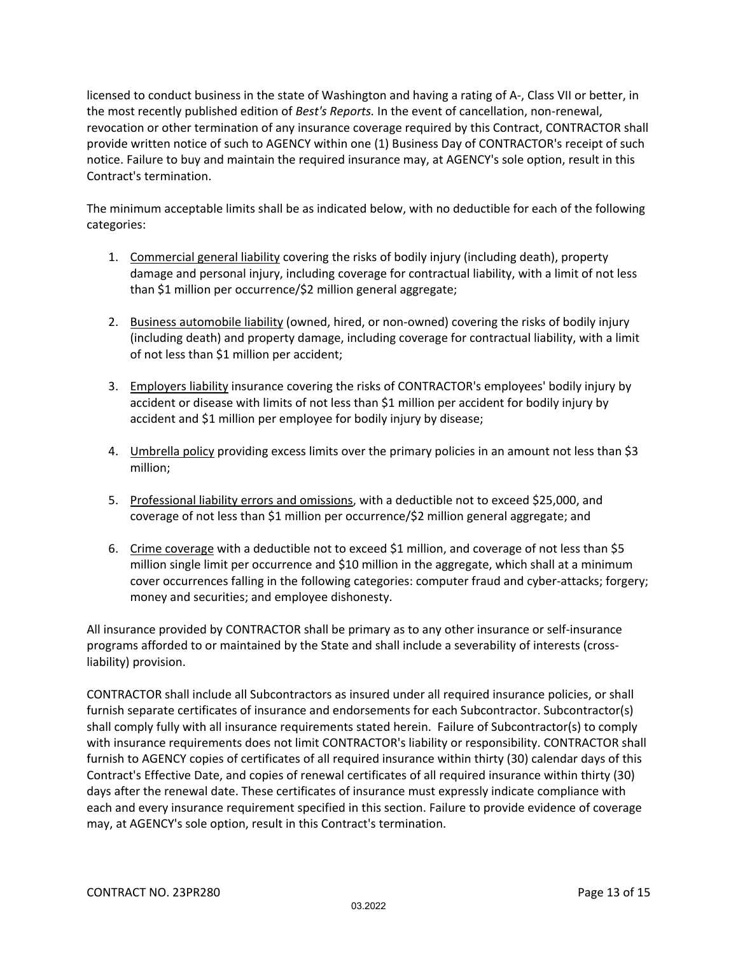licensed to conduct business in the state of Washington and having a rating of A‐, Class VII or better, in the most recently published edition of *Best's Reports.* In the event of cancellation, non‐renewal, revocation or other termination of any insurance coverage required by this Contract, CONTRACTOR shall provide written notice of such to AGENCY within one (1) Business Day of CONTRACTOR's receipt of such notice. Failure to buy and maintain the required insurance may, at AGENCY's sole option, result in this Contract's termination.

The minimum acceptable limits shall be as indicated below, with no deductible for each of the following categories:

- 1. Commercial general liability covering the risks of bodily injury (including death), property damage and personal injury, including coverage for contractual liability, with a limit of not less than \$1 million per occurrence/\$2 million general aggregate;
- 2. Business automobile liability (owned, hired, or non-owned) covering the risks of bodily injury (including death) and property damage, including coverage for contractual liability, with a limit of not less than \$1 million per accident;
- 3. Employers liability insurance covering the risks of CONTRACTOR's employees' bodily injury by accident or disease with limits of not less than \$1 million per accident for bodily injury by accident and \$1 million per employee for bodily injury by disease;
- 4. Umbrella policy providing excess limits over the primary policies in an amount not less than \$3 million;
- 5. Professional liability errors and omissions, with a deductible not to exceed \$25,000, and coverage of not less than \$1 million per occurrence/\$2 million general aggregate; and
- 6. Crime coverage with a deductible not to exceed \$1 million, and coverage of not less than \$5 million single limit per occurrence and \$10 million in the aggregate, which shall at a minimum cover occurrences falling in the following categories: computer fraud and cyber‐attacks; forgery; money and securities; and employee dishonesty.

All insurance provided by CONTRACTOR shall be primary as to any other insurance or self‐insurance programs afforded to or maintained by the State and shall include a severability of interests (cross‐ liability) provision.

CONTRACTOR shall include all Subcontractors as insured under all required insurance policies, or shall furnish separate certificates of insurance and endorsements for each Subcontractor. Subcontractor(s) shall comply fully with all insurance requirements stated herein. Failure of Subcontractor(s) to comply with insurance requirements does not limit CONTRACTOR's liability or responsibility. CONTRACTOR shall furnish to AGENCY copies of certificates of all required insurance within thirty (30) calendar days of this Contract's Effective Date, and copies of renewal certificates of all required insurance within thirty (30) days after the renewal date. These certificates of insurance must expressly indicate compliance with each and every insurance requirement specified in this section. Failure to provide evidence of coverage may, at AGENCY's sole option, result in this Contract's termination.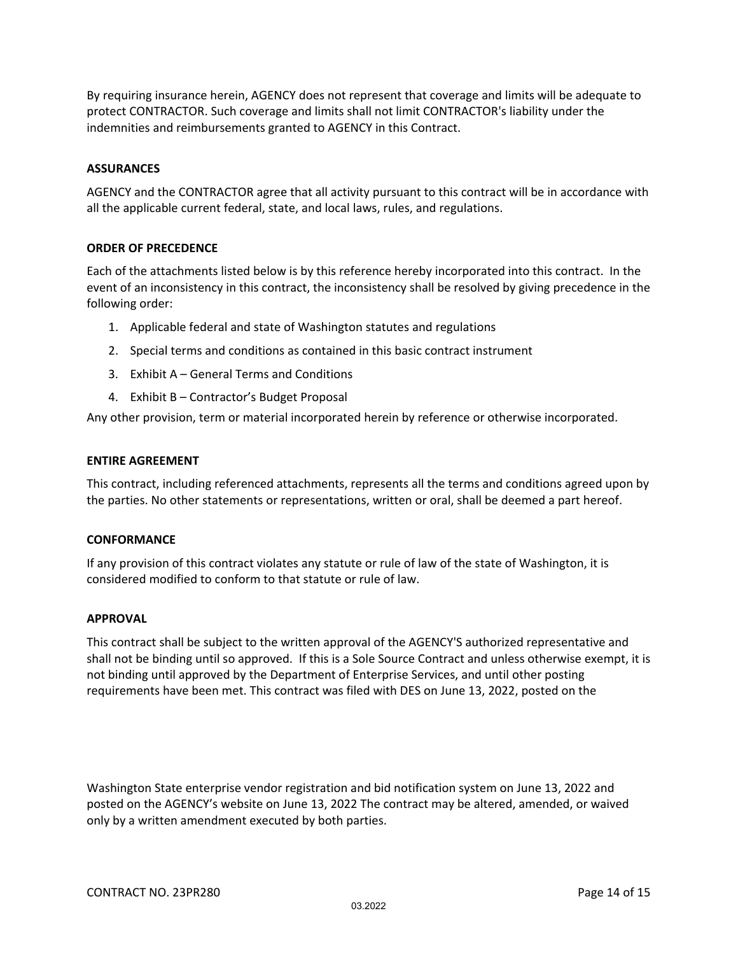By requiring insurance herein, AGENCY does not represent that coverage and limits will be adequate to protect CONTRACTOR. Such coverage and limits shall not limit CONTRACTOR's liability under the indemnities and reimbursements granted to AGENCY in this Contract.

#### **ASSURANCES**

AGENCY and the CONTRACTOR agree that all activity pursuant to this contract will be in accordance with all the applicable current federal, state, and local laws, rules, and regulations.

#### **ORDER OF PRECEDENCE**

Each of the attachments listed below is by this reference hereby incorporated into this contract. In the event of an inconsistency in this contract, the inconsistency shall be resolved by giving precedence in the following order:

- 1. Applicable federal and state of Washington statutes and regulations
- 2. Special terms and conditions as contained in this basic contract instrument
- 3. Exhibit A General Terms and Conditions
- 4. Exhibit B Contractor's Budget Proposal

Any other provision, term or material incorporated herein by reference or otherwise incorporated.

#### **ENTIRE AGREEMENT**

This contract, including referenced attachments, represents all the terms and conditions agreed upon by the parties. No other statements or representations, written or oral, shall be deemed a part hereof.

#### **CONFORMANCE**

If any provision of this contract violates any statute or rule of law of the state of Washington, it is considered modified to conform to that statute or rule of law.

#### **APPROVAL**

This contract shall be subject to the written approval of the AGENCY'S authorized representative and shall not be binding until so approved. If this is a Sole Source Contract and unless otherwise exempt, it is not binding until approved by the Department of Enterprise Services, and until other posting requirements have been met. This contract was filed with DES on June 13, 2022, posted on the

Washington State enterprise vendor registration and bid notification system on June 13, 2022 and posted on the AGENCY's website on June 13, 2022 The contract may be altered, amended, or waived only by a written amendment executed by both parties.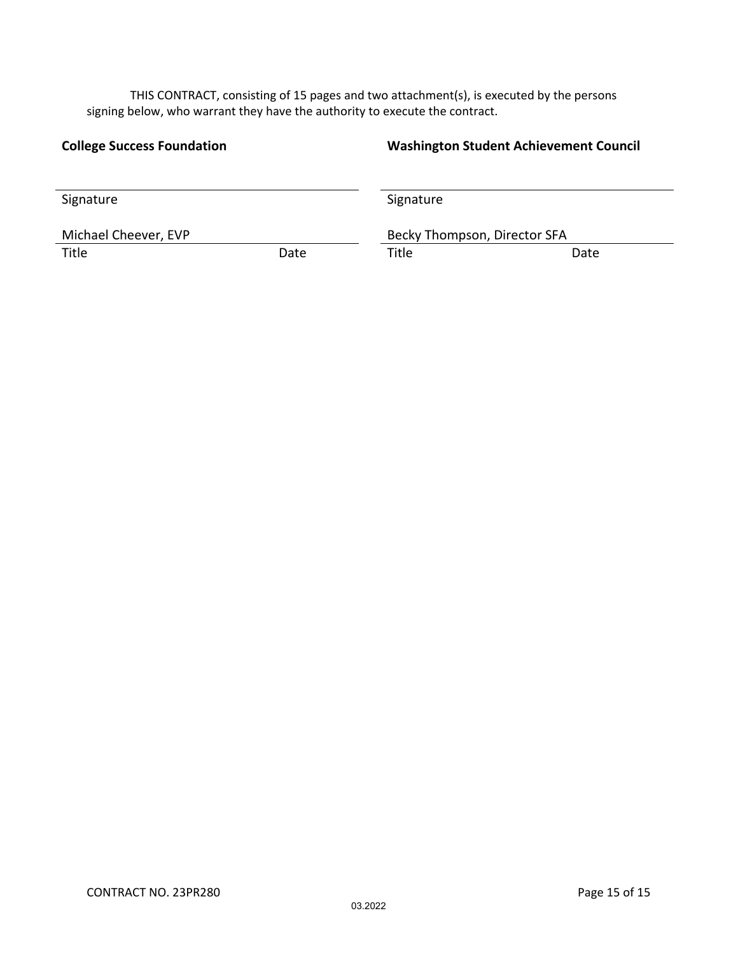THIS CONTRACT, consisting of 15 pages and two attachment(s), is executed by the persons signing below, who warrant they have the authority to execute the contract.

#### **College Success Foundation Washington Student Achievement Council**

| Signature            |      | Signature                    |      |  |
|----------------------|------|------------------------------|------|--|
|                      |      |                              |      |  |
| Michael Cheever, EVP |      | Becky Thompson, Director SFA |      |  |
| Title                | Date | Title                        | Date |  |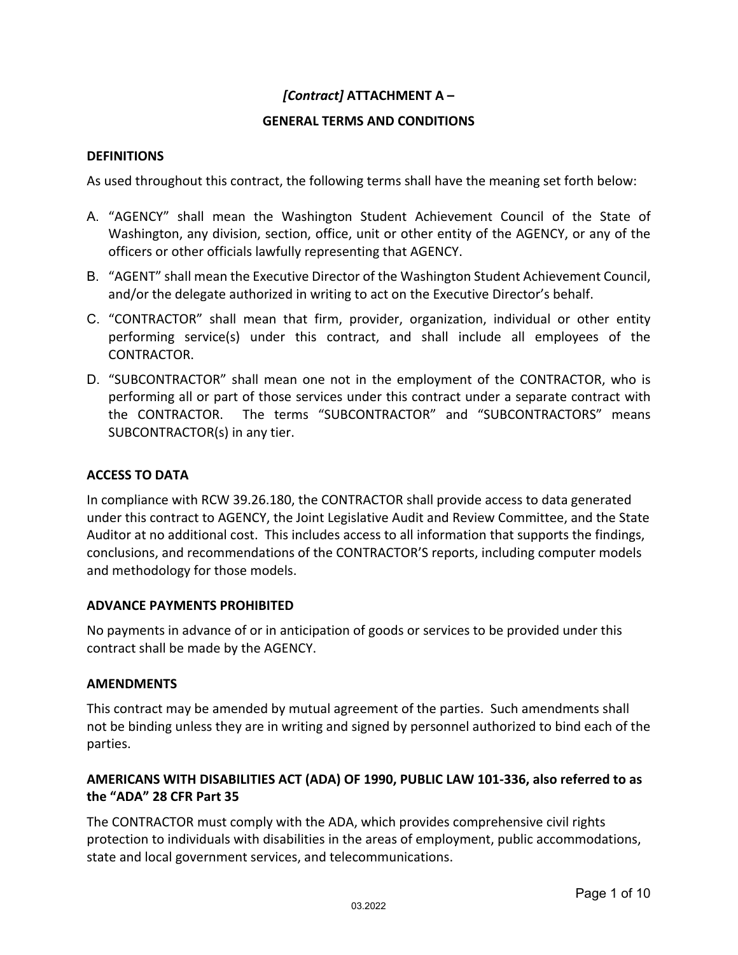#### *[Contract]* **ATTACHMENT A –**

#### **GENERAL TERMS AND CONDITIONS**

#### **DEFINITIONS**

As used throughout this contract, the following terms shall have the meaning set forth below:

- A. "AGENCY" shall mean the Washington Student Achievement Council of the State of Washington, any division, section, office, unit or other entity of the AGENCY, or any of the officers or other officials lawfully representing that AGENCY.
- B. "AGENT" shall mean the Executive Director of the Washington Student Achievement Council, and/or the delegate authorized in writing to act on the Executive Director's behalf.
- C. "CONTRACTOR" shall mean that firm, provider, organization, individual or other entity performing service(s) under this contract, and shall include all employees of the CONTRACTOR.
- D. "SUBCONTRACTOR" shall mean one not in the employment of the CONTRACTOR, who is performing all or part of those services under this contract under a separate contract with the CONTRACTOR. The terms "SUBCONTRACTOR" and "SUBCONTRACTORS" means SUBCONTRACTOR(s) in any tier.

#### **ACCESS TO DATA**

In compliance with RCW 39.26.180, the CONTRACTOR shall provide access to data generated under this contract to AGENCY, the Joint Legislative Audit and Review Committee, and the State Auditor at no additional cost. This includes access to all information that supports the findings, conclusions, and recommendations of the CONTRACTOR'S reports, including computer models and methodology for those models.

#### **ADVANCE PAYMENTS PROHIBITED**

No payments in advance of or in anticipation of goods or services to be provided under this contract shall be made by the AGENCY.

#### **AMENDMENTS**

This contract may be amended by mutual agreement of the parties. Such amendments shall not be binding unless they are in writing and signed by personnel authorized to bind each of the parties.

#### **AMERICANS WITH DISABILITIES ACT (ADA) OF 1990, PUBLIC LAW 101‐336, also referred to as the "ADA" 28 CFR Part 35**

The CONTRACTOR must comply with the ADA, which provides comprehensive civil rights protection to individuals with disabilities in the areas of employment, public accommodations, state and local government services, and telecommunications.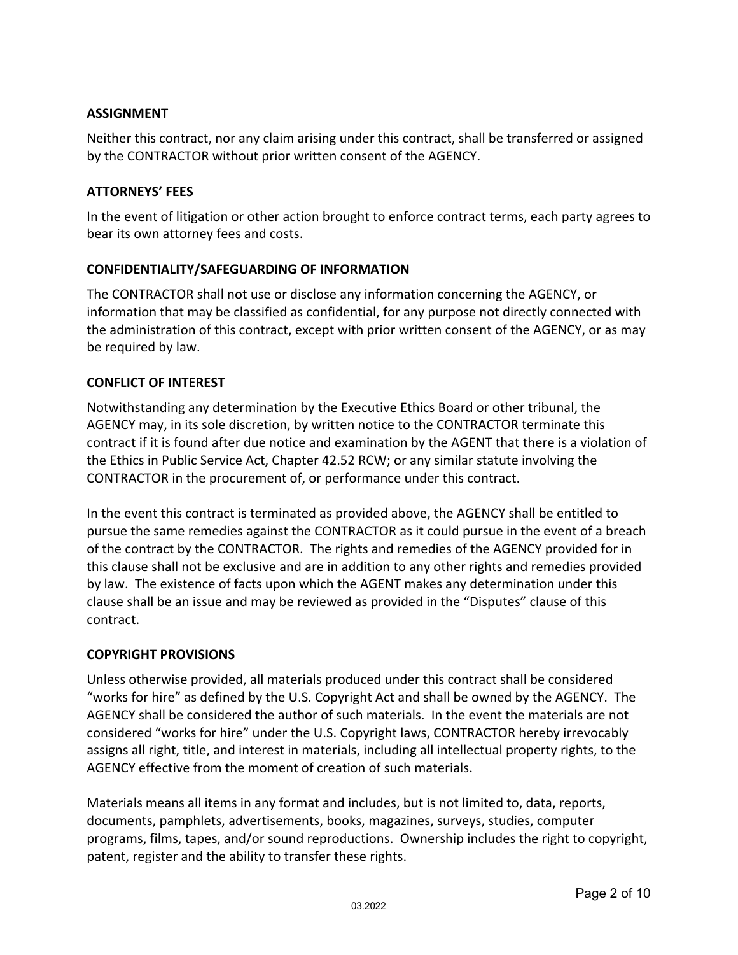#### **ASSIGNMENT**

Neither this contract, nor any claim arising under this contract, shall be transferred or assigned by the CONTRACTOR without prior written consent of the AGENCY.

#### **ATTORNEYS' FEES**

In the event of litigation or other action brought to enforce contract terms, each party agrees to bear its own attorney fees and costs.

#### **CONFIDENTIALITY/SAFEGUARDING OF INFORMATION**

The CONTRACTOR shall not use or disclose any information concerning the AGENCY, or information that may be classified as confidential, for any purpose not directly connected with the administration of this contract, except with prior written consent of the AGENCY, or as may be required by law.

#### **CONFLICT OF INTEREST**

Notwithstanding any determination by the Executive Ethics Board or other tribunal, the AGENCY may, in its sole discretion, by written notice to the CONTRACTOR terminate this contract if it is found after due notice and examination by the AGENT that there is a violation of the Ethics in Public Service Act, Chapter 42.52 RCW; or any similar statute involving the CONTRACTOR in the procurement of, or performance under this contract.

In the event this contract is terminated as provided above, the AGENCY shall be entitled to pursue the same remedies against the CONTRACTOR as it could pursue in the event of a breach of the contract by the CONTRACTOR. The rights and remedies of the AGENCY provided for in this clause shall not be exclusive and are in addition to any other rights and remedies provided by law. The existence of facts upon which the AGENT makes any determination under this clause shall be an issue and may be reviewed as provided in the "Disputes" clause of this contract.

#### **COPYRIGHT PROVISIONS**

Unless otherwise provided, all materials produced under this contract shall be considered "works for hire" as defined by the U.S. Copyright Act and shall be owned by the AGENCY. The AGENCY shall be considered the author of such materials. In the event the materials are not considered "works for hire" under the U.S. Copyright laws, CONTRACTOR hereby irrevocably assigns all right, title, and interest in materials, including all intellectual property rights, to the AGENCY effective from the moment of creation of such materials.

Materials means all items in any format and includes, but is not limited to, data, reports, documents, pamphlets, advertisements, books, magazines, surveys, studies, computer programs, films, tapes, and/or sound reproductions. Ownership includes the right to copyright, patent, register and the ability to transfer these rights.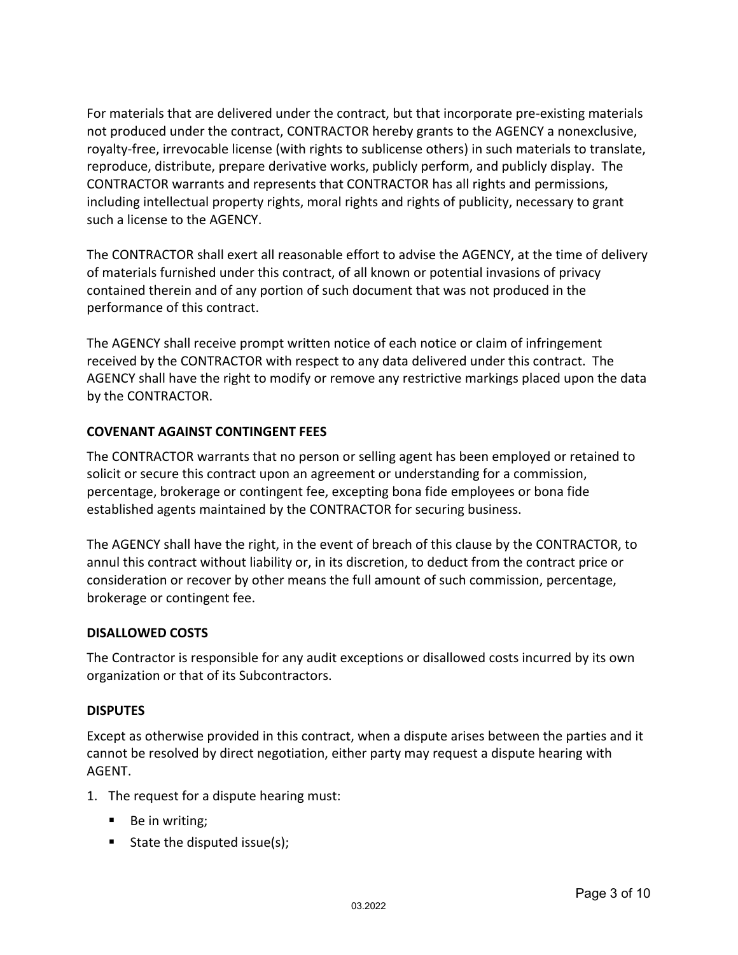For materials that are delivered under the contract, but that incorporate pre‐existing materials not produced under the contract, CONTRACTOR hereby grants to the AGENCY a nonexclusive, royalty‐free, irrevocable license (with rights to sublicense others) in such materials to translate, reproduce, distribute, prepare derivative works, publicly perform, and publicly display. The CONTRACTOR warrants and represents that CONTRACTOR has all rights and permissions, including intellectual property rights, moral rights and rights of publicity, necessary to grant such a license to the AGENCY.

The CONTRACTOR shall exert all reasonable effort to advise the AGENCY, at the time of delivery of materials furnished under this contract, of all known or potential invasions of privacy contained therein and of any portion of such document that was not produced in the performance of this contract.

The AGENCY shall receive prompt written notice of each notice or claim of infringement received by the CONTRACTOR with respect to any data delivered under this contract. The AGENCY shall have the right to modify or remove any restrictive markings placed upon the data by the CONTRACTOR.

#### **COVENANT AGAINST CONTINGENT FEES**

The CONTRACTOR warrants that no person or selling agent has been employed or retained to solicit or secure this contract upon an agreement or understanding for a commission, percentage, brokerage or contingent fee, excepting bona fide employees or bona fide established agents maintained by the CONTRACTOR for securing business.

The AGENCY shall have the right, in the event of breach of this clause by the CONTRACTOR, to annul this contract without liability or, in its discretion, to deduct from the contract price or consideration or recover by other means the full amount of such commission, percentage, brokerage or contingent fee.

#### **DISALLOWED COSTS**

The Contractor is responsible for any audit exceptions or disallowed costs incurred by its own organization or that of its Subcontractors.

#### **DISPUTES**

Except as otherwise provided in this contract, when a dispute arises between the parties and it cannot be resolved by direct negotiation, either party may request a dispute hearing with AGENT.

- 1. The request for a dispute hearing must:
	- Be in writing;
	- State the disputed issue(s);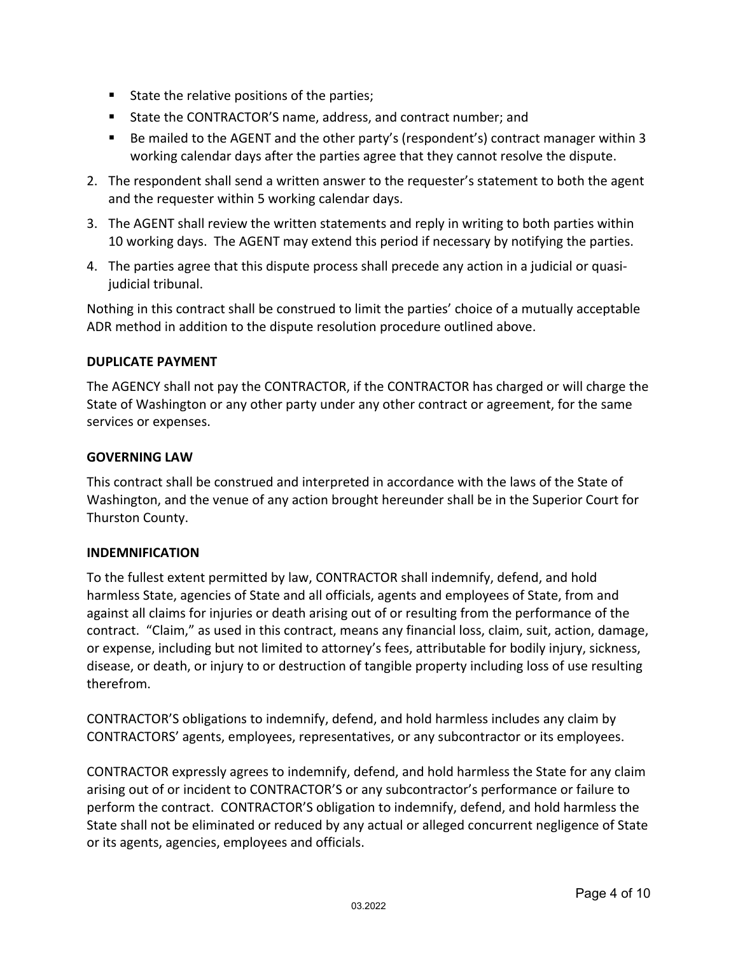- State the relative positions of the parties;
- State the CONTRACTOR'S name, address, and contract number; and
- Be mailed to the AGENT and the other party's (respondent's) contract manager within 3 working calendar days after the parties agree that they cannot resolve the dispute.
- 2. The respondent shall send a written answer to the requester's statement to both the agent and the requester within 5 working calendar days.
- 3. The AGENT shall review the written statements and reply in writing to both parties within 10 working days. The AGENT may extend this period if necessary by notifying the parties.
- 4. The parties agree that this dispute process shall precede any action in a judicial or quasi‐ judicial tribunal.

Nothing in this contract shall be construed to limit the parties' choice of a mutually acceptable ADR method in addition to the dispute resolution procedure outlined above.

#### **DUPLICATE PAYMENT**

The AGENCY shall not pay the CONTRACTOR, if the CONTRACTOR has charged or will charge the State of Washington or any other party under any other contract or agreement, for the same services or expenses.

#### **GOVERNING LAW**

This contract shall be construed and interpreted in accordance with the laws of the State of Washington, and the venue of any action brought hereunder shall be in the Superior Court for Thurston County.

#### **INDEMNIFICATION**

To the fullest extent permitted by law, CONTRACTOR shall indemnify, defend, and hold harmless State, agencies of State and all officials, agents and employees of State, from and against all claims for injuries or death arising out of or resulting from the performance of the contract. "Claim," as used in this contract, means any financial loss, claim, suit, action, damage, or expense, including but not limited to attorney's fees, attributable for bodily injury, sickness, disease, or death, or injury to or destruction of tangible property including loss of use resulting therefrom.

CONTRACTOR'S obligations to indemnify, defend, and hold harmless includes any claim by CONTRACTORS' agents, employees, representatives, or any subcontractor or its employees.

CONTRACTOR expressly agrees to indemnify, defend, and hold harmless the State for any claim arising out of or incident to CONTRACTOR'S or any subcontractor's performance or failure to perform the contract. CONTRACTOR'S obligation to indemnify, defend, and hold harmless the State shall not be eliminated or reduced by any actual or alleged concurrent negligence of State or its agents, agencies, employees and officials.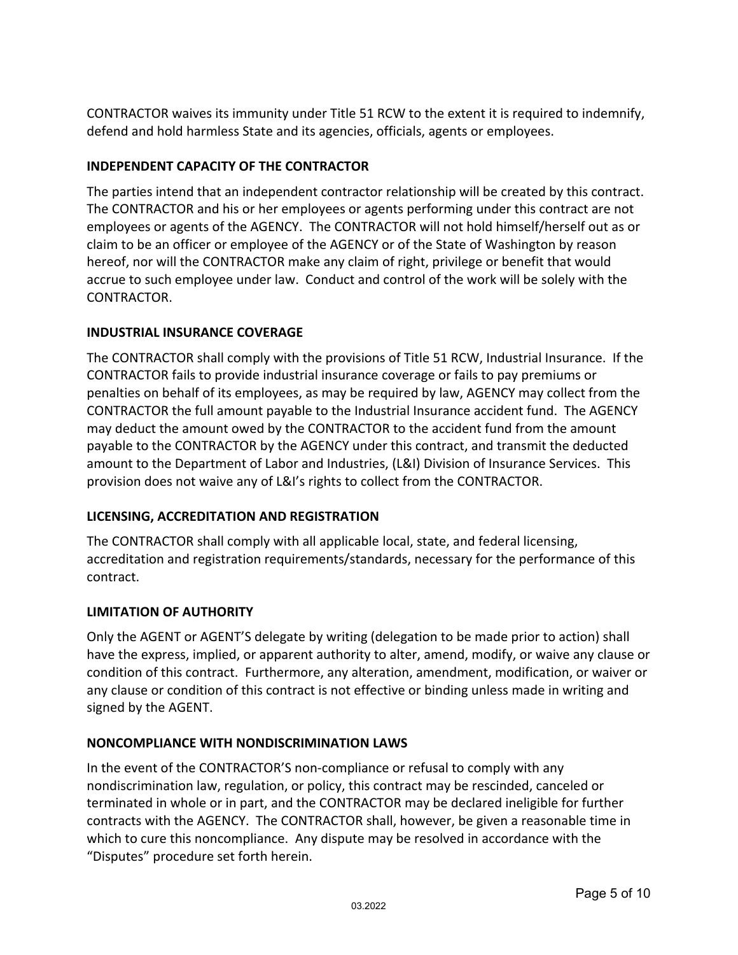CONTRACTOR waives its immunity under Title 51 RCW to the extent it is required to indemnify, defend and hold harmless State and its agencies, officials, agents or employees.

#### **INDEPENDENT CAPACITY OF THE CONTRACTOR**

The parties intend that an independent contractor relationship will be created by this contract. The CONTRACTOR and his or her employees or agents performing under this contract are not employees or agents of the AGENCY. The CONTRACTOR will not hold himself/herself out as or claim to be an officer or employee of the AGENCY or of the State of Washington by reason hereof, nor will the CONTRACTOR make any claim of right, privilege or benefit that would accrue to such employee under law. Conduct and control of the work will be solely with the CONTRACTOR.

#### **INDUSTRIAL INSURANCE COVERAGE**

The CONTRACTOR shall comply with the provisions of Title 51 RCW, Industrial Insurance. If the CONTRACTOR fails to provide industrial insurance coverage or fails to pay premiums or penalties on behalf of its employees, as may be required by law, AGENCY may collect from the CONTRACTOR the full amount payable to the Industrial Insurance accident fund. The AGENCY may deduct the amount owed by the CONTRACTOR to the accident fund from the amount payable to the CONTRACTOR by the AGENCY under this contract, and transmit the deducted amount to the Department of Labor and Industries, (L&I) Division of Insurance Services. This provision does not waive any of L&I's rights to collect from the CONTRACTOR.

#### **LICENSING, ACCREDITATION AND REGISTRATION**

The CONTRACTOR shall comply with all applicable local, state, and federal licensing, accreditation and registration requirements/standards, necessary for the performance of this contract.

#### **LIMITATION OF AUTHORITY**

Only the AGENT or AGENT'S delegate by writing (delegation to be made prior to action) shall have the express, implied, or apparent authority to alter, amend, modify, or waive any clause or condition of this contract. Furthermore, any alteration, amendment, modification, or waiver or any clause or condition of this contract is not effective or binding unless made in writing and signed by the AGENT.

#### **NONCOMPLIANCE WITH NONDISCRIMINATION LAWS**

In the event of the CONTRACTOR'S non‐compliance or refusal to comply with any nondiscrimination law, regulation, or policy, this contract may be rescinded, canceled or terminated in whole or in part, and the CONTRACTOR may be declared ineligible for further contracts with the AGENCY. The CONTRACTOR shall, however, be given a reasonable time in which to cure this noncompliance. Any dispute may be resolved in accordance with the "Disputes" procedure set forth herein.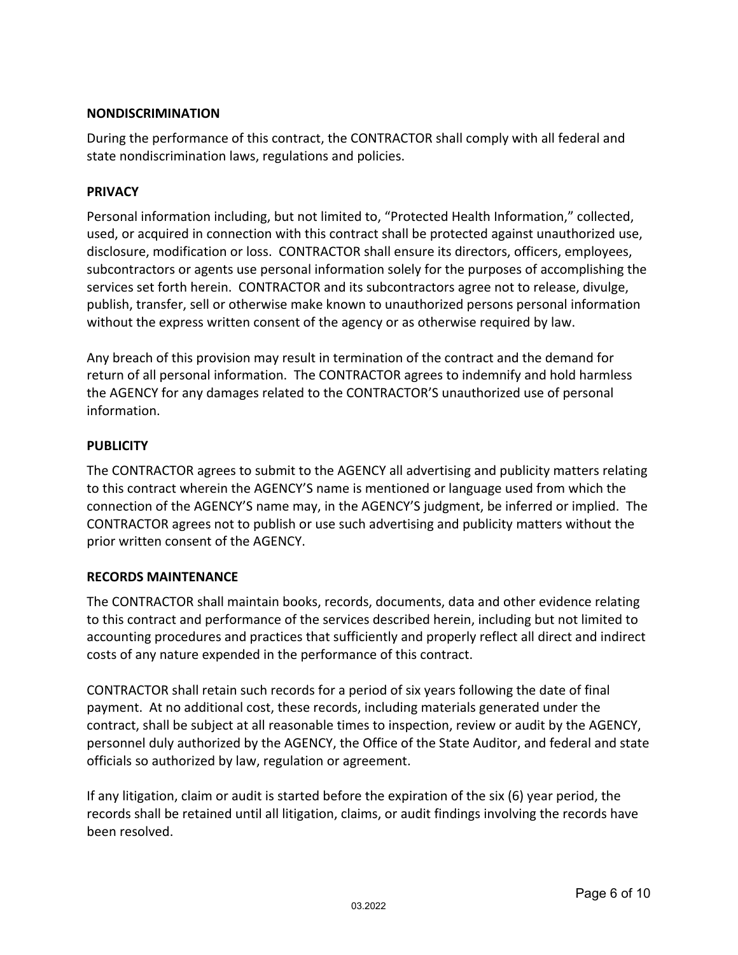#### **NONDISCRIMINATION**

During the performance of this contract, the CONTRACTOR shall comply with all federal and state nondiscrimination laws, regulations and policies.

#### **PRIVACY**

Personal information including, but not limited to, "Protected Health Information," collected, used, or acquired in connection with this contract shall be protected against unauthorized use, disclosure, modification or loss. CONTRACTOR shall ensure its directors, officers, employees, subcontractors or agents use personal information solely for the purposes of accomplishing the services set forth herein. CONTRACTOR and its subcontractors agree not to release, divulge, publish, transfer, sell or otherwise make known to unauthorized persons personal information without the express written consent of the agency or as otherwise required by law.

Any breach of this provision may result in termination of the contract and the demand for return of all personal information. The CONTRACTOR agrees to indemnify and hold harmless the AGENCY for any damages related to the CONTRACTOR'S unauthorized use of personal information.

#### **PUBLICITY**

The CONTRACTOR agrees to submit to the AGENCY all advertising and publicity matters relating to this contract wherein the AGENCY'S name is mentioned or language used from which the connection of the AGENCY'S name may, in the AGENCY'S judgment, be inferred or implied. The CONTRACTOR agrees not to publish or use such advertising and publicity matters without the prior written consent of the AGENCY.

#### **RECORDS MAINTENANCE**

The CONTRACTOR shall maintain books, records, documents, data and other evidence relating to this contract and performance of the services described herein, including but not limited to accounting procedures and practices that sufficiently and properly reflect all direct and indirect costs of any nature expended in the performance of this contract.

CONTRACTOR shall retain such records for a period of six years following the date of final payment. At no additional cost, these records, including materials generated under the contract, shall be subject at all reasonable times to inspection, review or audit by the AGENCY, personnel duly authorized by the AGENCY, the Office of the State Auditor, and federal and state officials so authorized by law, regulation or agreement.

If any litigation, claim or audit is started before the expiration of the six (6) year period, the records shall be retained until all litigation, claims, or audit findings involving the records have been resolved.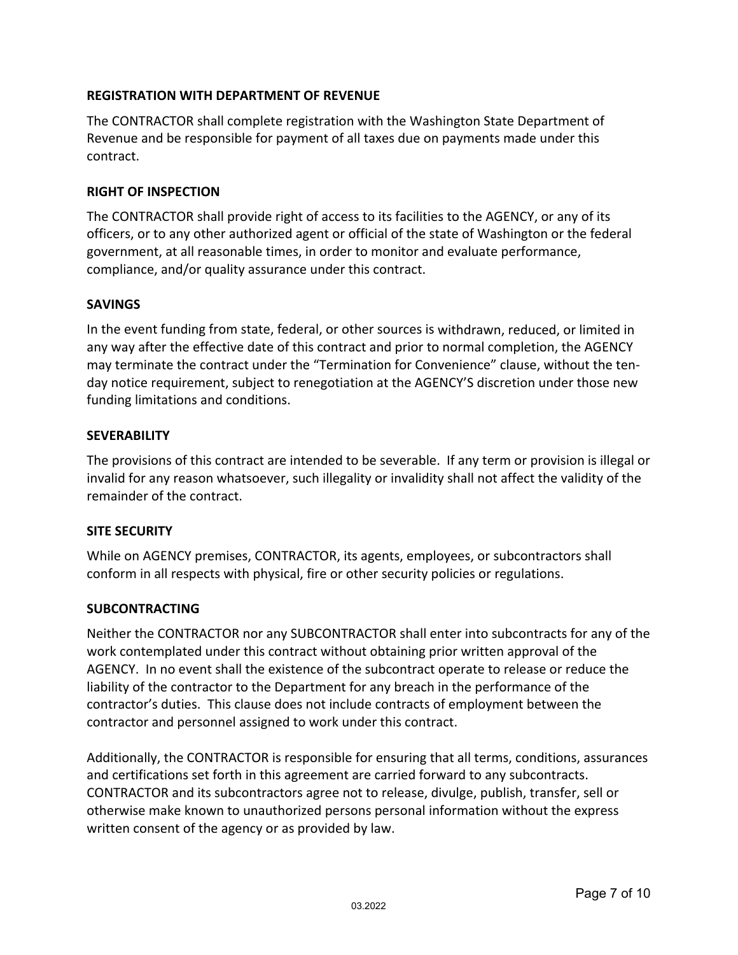#### **REGISTRATION WITH DEPARTMENT OF REVENUE**

The CONTRACTOR shall complete registration with the Washington State Department of Revenue and be responsible for payment of all taxes due on payments made under this contract.

#### **RIGHT OF INSPECTION**

The CONTRACTOR shall provide right of access to its facilities to the AGENCY, or any of its officers, or to any other authorized agent or official of the state of Washington or the federal government, at all reasonable times, in order to monitor and evaluate performance, compliance, and/or quality assurance under this contract.

#### **SAVINGS**

In the event funding from state, federal, or other sources is withdrawn, reduced, or limited in any way after the effective date of this contract and prior to normal completion, the AGENCY may terminate the contract under the "Termination for Convenience" clause, without the ten‐ day notice requirement, subject to renegotiation at the AGENCY'S discretion under those new funding limitations and conditions.

#### **SEVERABILITY**

The provisions of this contract are intended to be severable. If any term or provision is illegal or invalid for any reason whatsoever, such illegality or invalidity shall not affect the validity of the remainder of the contract.

#### **SITE SECURITY**

While on AGENCY premises, CONTRACTOR, its agents, employees, or subcontractors shall conform in all respects with physical, fire or other security policies or regulations.

#### **SUBCONTRACTING**

Neither the CONTRACTOR nor any SUBCONTRACTOR shall enter into subcontracts for any of the work contemplated under this contract without obtaining prior written approval of the AGENCY. In no event shall the existence of the subcontract operate to release or reduce the liability of the contractor to the Department for any breach in the performance of the contractor's duties. This clause does not include contracts of employment between the contractor and personnel assigned to work under this contract.

Additionally, the CONTRACTOR is responsible for ensuring that all terms, conditions, assurances and certifications set forth in this agreement are carried forward to any subcontracts. CONTRACTOR and its subcontractors agree not to release, divulge, publish, transfer, sell or otherwise make known to unauthorized persons personal information without the express written consent of the agency or as provided by law.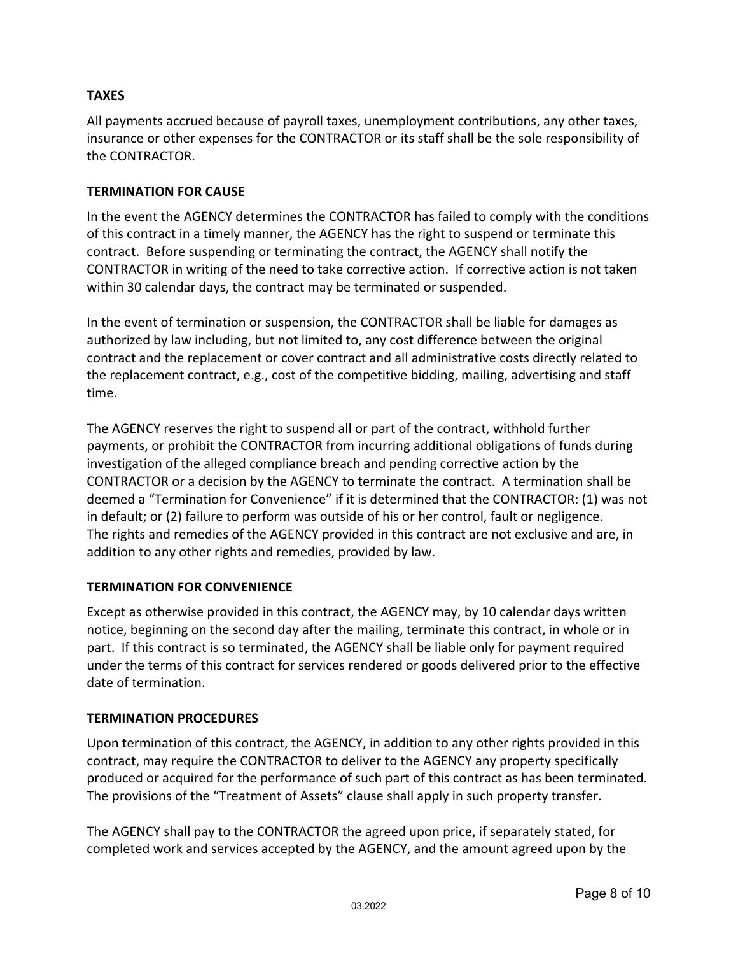#### **TAXES**

All payments accrued because of payroll taxes, unemployment contributions, any other taxes, insurance or other expenses for the CONTRACTOR or its staff shall be the sole responsibility of the CONTRACTOR.

#### **TERMINATION FOR CAUSE**

In the event the AGENCY determines the CONTRACTOR has failed to comply with the conditions of this contract in a timely manner, the AGENCY has the right to suspend or terminate this contract. Before suspending or terminating the contract, the AGENCY shall notify the CONTRACTOR in writing of the need to take corrective action. If corrective action is not taken within 30 calendar days, the contract may be terminated or suspended.

In the event of termination or suspension, the CONTRACTOR shall be liable for damages as authorized by law including, but not limited to, any cost difference between the original contract and the replacement or cover contract and all administrative costs directly related to the replacement contract, e.g., cost of the competitive bidding, mailing, advertising and staff time.

The AGENCY reserves the right to suspend all or part of the contract, withhold further payments, or prohibit the CONTRACTOR from incurring additional obligations of funds during investigation of the alleged compliance breach and pending corrective action by the CONTRACTOR or a decision by the AGENCY to terminate the contract. A termination shall be deemed a "Termination for Convenience" if it is determined that the CONTRACTOR: (1) was not in default; or (2) failure to perform was outside of his or her control, fault or negligence. The rights and remedies of the AGENCY provided in this contract are not exclusive and are, in addition to any other rights and remedies, provided by law.

#### **TERMINATION FOR CONVENIENCE**

Except as otherwise provided in this contract, the AGENCY may, by 10 calendar days written notice, beginning on the second day after the mailing, terminate this contract, in whole or in part. If this contract is so terminated, the AGENCY shall be liable only for payment required under the terms of this contract for services rendered or goods delivered prior to the effective date of termination.

#### **TERMINATION PROCEDURES**

Upon termination of this contract, the AGENCY, in addition to any other rights provided in this contract, may require the CONTRACTOR to deliver to the AGENCY any property specifically produced or acquired for the performance of such part of this contract as has been terminated. The provisions of the "Treatment of Assets" clause shall apply in such property transfer.

The AGENCY shall pay to the CONTRACTOR the agreed upon price, if separately stated, for completed work and services accepted by the AGENCY, and the amount agreed upon by the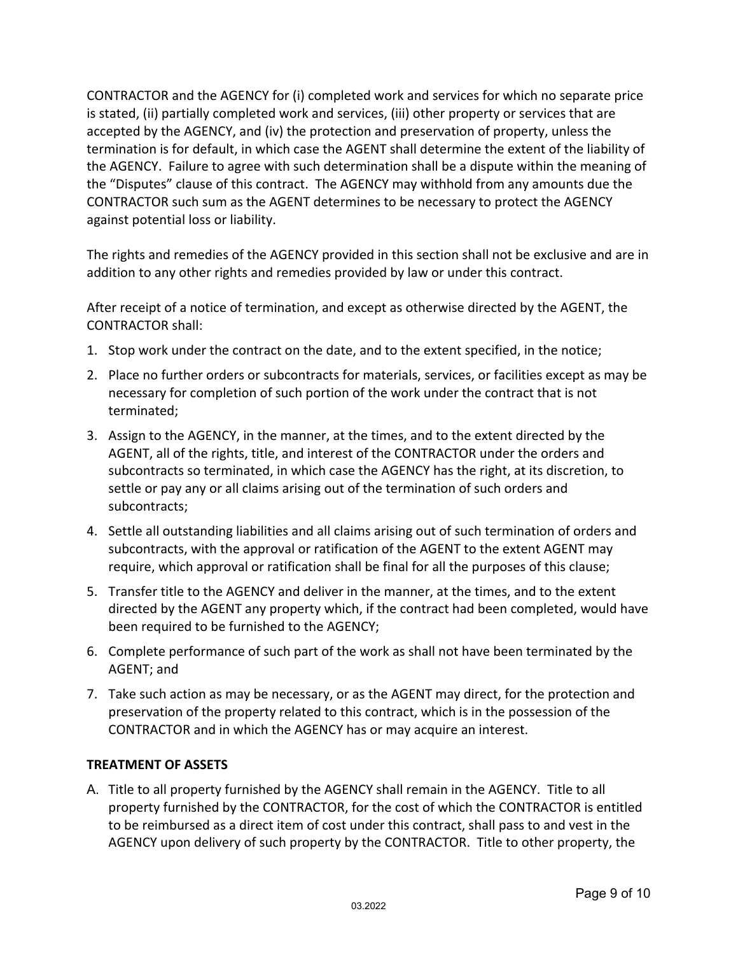CONTRACTOR and the AGENCY for (i) completed work and services for which no separate price is stated, (ii) partially completed work and services, (iii) other property or services that are accepted by the AGENCY, and (iv) the protection and preservation of property, unless the termination is for default, in which case the AGENT shall determine the extent of the liability of the AGENCY. Failure to agree with such determination shall be a dispute within the meaning of the "Disputes" clause of this contract. The AGENCY may withhold from any amounts due the CONTRACTOR such sum as the AGENT determines to be necessary to protect the AGENCY against potential loss or liability.

The rights and remedies of the AGENCY provided in this section shall not be exclusive and are in addition to any other rights and remedies provided by law or under this contract.

After receipt of a notice of termination, and except as otherwise directed by the AGENT, the CONTRACTOR shall:

- 1. Stop work under the contract on the date, and to the extent specified, in the notice;
- 2. Place no further orders or subcontracts for materials, services, or facilities except as may be necessary for completion of such portion of the work under the contract that is not terminated;
- 3. Assign to the AGENCY, in the manner, at the times, and to the extent directed by the AGENT, all of the rights, title, and interest of the CONTRACTOR under the orders and subcontracts so terminated, in which case the AGENCY has the right, at its discretion, to settle or pay any or all claims arising out of the termination of such orders and subcontracts;
- 4. Settle all outstanding liabilities and all claims arising out of such termination of orders and subcontracts, with the approval or ratification of the AGENT to the extent AGENT may require, which approval or ratification shall be final for all the purposes of this clause;
- 5. Transfer title to the AGENCY and deliver in the manner, at the times, and to the extent directed by the AGENT any property which, if the contract had been completed, would have been required to be furnished to the AGENCY;
- 6. Complete performance of such part of the work as shall not have been terminated by the AGENT; and
- 7. Take such action as may be necessary, or as the AGENT may direct, for the protection and preservation of the property related to this contract, which is in the possession of the CONTRACTOR and in which the AGENCY has or may acquire an interest.

#### **TREATMENT OF ASSETS**

A. Title to all property furnished by the AGENCY shall remain in the AGENCY. Title to all property furnished by the CONTRACTOR, for the cost of which the CONTRACTOR is entitled to be reimbursed as a direct item of cost under this contract, shall pass to and vest in the AGENCY upon delivery of such property by the CONTRACTOR. Title to other property, the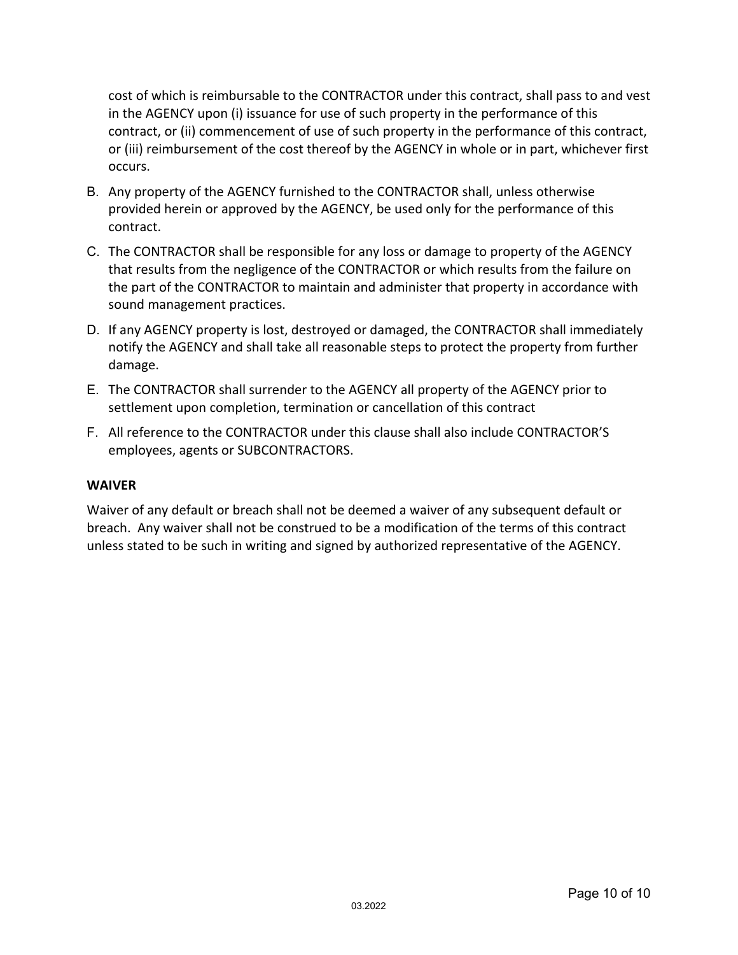cost of which is reimbursable to the CONTRACTOR under this contract, shall pass to and vest in the AGENCY upon (i) issuance for use of such property in the performance of this contract, or (ii) commencement of use of such property in the performance of this contract, or (iii) reimbursement of the cost thereof by the AGENCY in whole or in part, whichever first occurs.

- B. Any property of the AGENCY furnished to the CONTRACTOR shall, unless otherwise provided herein or approved by the AGENCY, be used only for the performance of this contract.
- C. The CONTRACTOR shall be responsible for any loss or damage to property of the AGENCY that results from the negligence of the CONTRACTOR or which results from the failure on the part of the CONTRACTOR to maintain and administer that property in accordance with sound management practices.
- D. If any AGENCY property is lost, destroyed or damaged, the CONTRACTOR shall immediately notify the AGENCY and shall take all reasonable steps to protect the property from further damage.
- E. The CONTRACTOR shall surrender to the AGENCY all property of the AGENCY prior to settlement upon completion, termination or cancellation of this contract
- F. All reference to the CONTRACTOR under this clause shall also include CONTRACTOR'S employees, agents or SUBCONTRACTORS.

#### **WAIVER**

Waiver of any default or breach shall not be deemed a waiver of any subsequent default or breach. Any waiver shall not be construed to be a modification of the terms of this contract unless stated to be such in writing and signed by authorized representative of the AGENCY.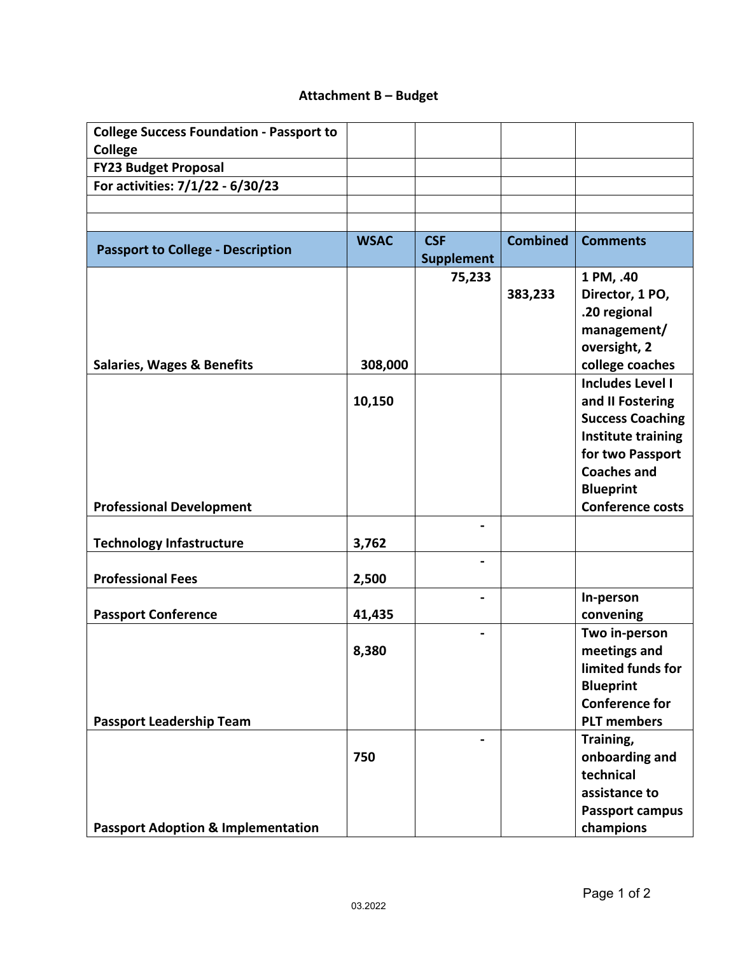### **Attachment B – Budget**

| <b>College Success Foundation - Passport to</b> |             |                   |                 |                                  |
|-------------------------------------------------|-------------|-------------------|-----------------|----------------------------------|
| <b>College</b>                                  |             |                   |                 |                                  |
| <b>FY23 Budget Proposal</b>                     |             |                   |                 |                                  |
| For activities: 7/1/22 - 6/30/23                |             |                   |                 |                                  |
|                                                 |             |                   |                 |                                  |
|                                                 |             |                   |                 |                                  |
| <b>Passport to College - Description</b>        | <b>WSAC</b> | <b>CSF</b>        | <b>Combined</b> | <b>Comments</b>                  |
|                                                 |             | <b>Supplement</b> |                 |                                  |
|                                                 |             | 75,233            |                 | 1 PM, .40                        |
|                                                 |             |                   | 383,233         | Director, 1 PO,                  |
|                                                 |             |                   |                 | .20 regional                     |
|                                                 |             |                   |                 | management/                      |
|                                                 |             |                   |                 | oversight, 2                     |
| <b>Salaries, Wages &amp; Benefits</b>           | 308,000     |                   |                 | college coaches                  |
|                                                 |             |                   |                 | <b>Includes Level I</b>          |
|                                                 | 10,150      |                   |                 | and II Fostering                 |
|                                                 |             |                   |                 | <b>Success Coaching</b>          |
|                                                 |             |                   |                 | <b>Institute training</b>        |
|                                                 |             |                   |                 | for two Passport                 |
|                                                 |             |                   |                 | <b>Coaches and</b>               |
|                                                 |             |                   |                 | <b>Blueprint</b>                 |
| <b>Professional Development</b>                 |             |                   |                 | <b>Conference costs</b>          |
|                                                 |             |                   |                 |                                  |
| <b>Technology Infastructure</b>                 | 3,762       |                   |                 |                                  |
| <b>Professional Fees</b>                        | 2,500       |                   |                 |                                  |
|                                                 |             |                   |                 | In-person                        |
| <b>Passport Conference</b>                      | 41,435      |                   |                 | convening                        |
|                                                 |             |                   |                 | Two in-person                    |
|                                                 | 8,380       |                   |                 | meetings and                     |
|                                                 |             |                   |                 | limited funds for                |
|                                                 |             |                   |                 | <b>Blueprint</b>                 |
|                                                 |             |                   |                 | <b>Conference for</b>            |
| <b>Passport Leadership Team</b>                 |             |                   |                 | <b>PLT</b> members               |
|                                                 |             |                   |                 | Training,                        |
|                                                 |             |                   |                 |                                  |
|                                                 |             |                   |                 |                                  |
|                                                 | 750         |                   |                 | onboarding and                   |
|                                                 |             |                   |                 | technical                        |
|                                                 |             |                   |                 | assistance to<br>Passport campus |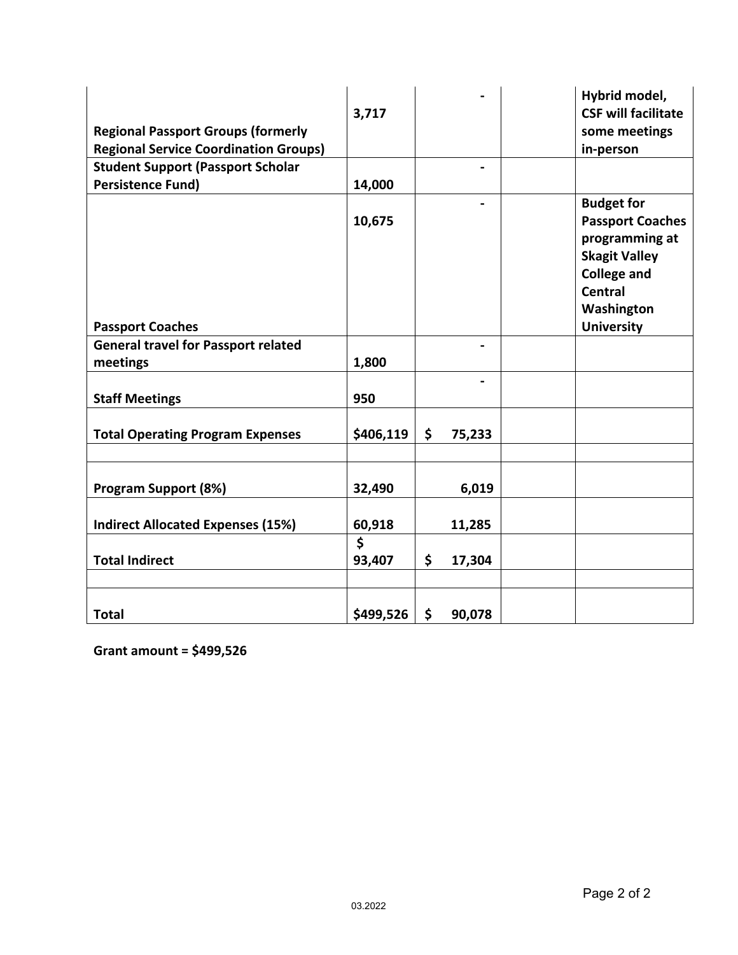| <b>Regional Passport Groups (formerly</b><br><b>Regional Service Coordination Groups)</b> | 3,717        |              | Hybrid model,<br><b>CSF will facilitate</b><br>some meetings<br>in-person                                                                                         |
|-------------------------------------------------------------------------------------------|--------------|--------------|-------------------------------------------------------------------------------------------------------------------------------------------------------------------|
| <b>Student Support (Passport Scholar</b>                                                  |              |              |                                                                                                                                                                   |
| <b>Persistence Fund)</b>                                                                  | 14,000       |              |                                                                                                                                                                   |
| <b>Passport Coaches</b>                                                                   | 10,675       |              | <b>Budget for</b><br><b>Passport Coaches</b><br>programming at<br><b>Skagit Valley</b><br><b>College and</b><br><b>Central</b><br>Washington<br><b>University</b> |
| <b>General travel for Passport related</b>                                                |              |              |                                                                                                                                                                   |
| meetings                                                                                  | 1,800        |              |                                                                                                                                                                   |
| <b>Staff Meetings</b>                                                                     | 950          |              |                                                                                                                                                                   |
| <b>Total Operating Program Expenses</b>                                                   | \$406,119    | \$<br>75,233 |                                                                                                                                                                   |
| <b>Program Support (8%)</b>                                                               | 32,490       | 6,019        |                                                                                                                                                                   |
| <b>Indirect Allocated Expenses (15%)</b>                                                  | 60,918       | 11,285       |                                                                                                                                                                   |
| <b>Total Indirect</b>                                                                     | \$<br>93,407 | \$<br>17,304 |                                                                                                                                                                   |
| <b>Total</b>                                                                              | \$499,526    | \$<br>90,078 |                                                                                                                                                                   |

**Grant amount = \$499,526**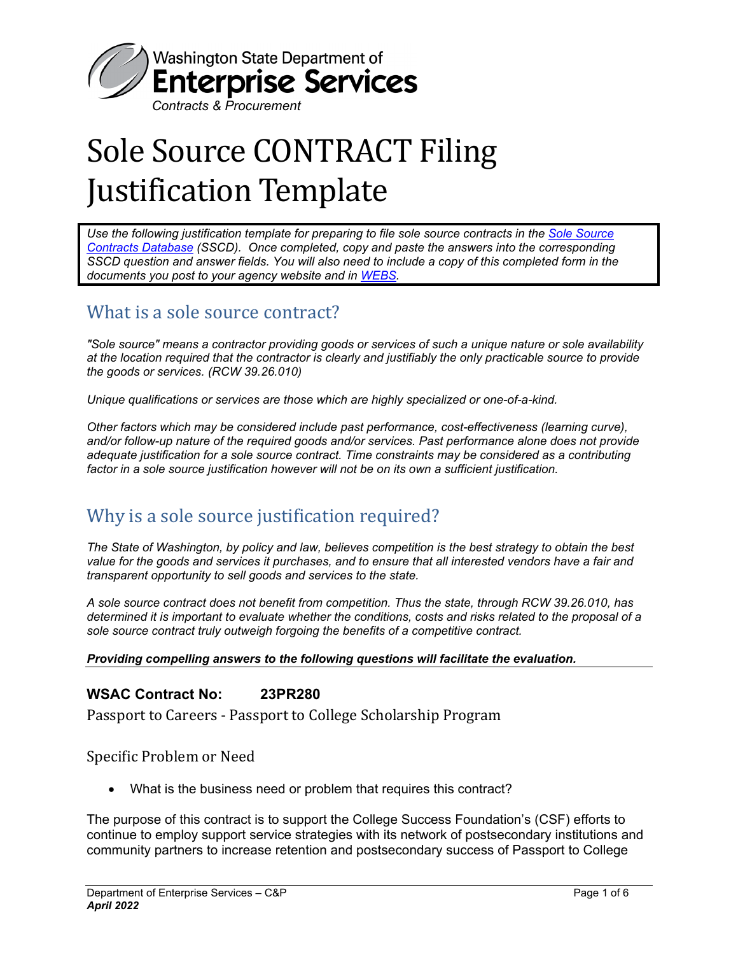

# Sole Source CONTRACT Filing Justification Template

*Use the following justification template for preparing to file sole source contracts in the Sole Source Contracts Database (SSCD). Once completed, copy and paste the answers into the corresponding SSCD question and answer fields. You will also need to include a copy of this completed form in the documents you post to your agency website and in WEBS.* 

# What is a sole source contract?

*"Sole source" means a contractor providing goods or services of such a unique nature or sole availability at the location required that the contractor is clearly and justifiably the only practicable source to provide the goods or services. (RCW 39.26.010)* 

*Unique qualifications or services are those which are highly specialized or one-of-a-kind.* 

*Other factors which may be considered include past performance, cost-effectiveness (learning curve), and/or follow-up nature of the required goods and/or services. Past performance alone does not provide adequate justification for a sole source contract. Time constraints may be considered as a contributing factor in a sole source justification however will not be on its own a sufficient justification.* 

# Why is a sole source justification required?

*The State of Washington, by policy and law, believes competition is the best strategy to obtain the best value for the goods and services it purchases, and to ensure that all interested vendors have a fair and transparent opportunity to sell goods and services to the state.* 

*A sole source contract does not benefit from competition. Thus the state, through RCW 39.26.010, has determined it is important to evaluate whether the conditions, costs and risks related to the proposal of a sole source contract truly outweigh forgoing the benefits of a competitive contract.* 

#### *Providing compelling answers to the following questions will facilitate the evaluation.*

#### **WSAC Contract No: 23PR280**

Passport to Careers - Passport to College Scholarship Program

Specific Problem or Need

What is the business need or problem that requires this contract?

The purpose of this contract is to support the College Success Foundation's (CSF) efforts to continue to employ support service strategies with its network of postsecondary institutions and community partners to increase retention and postsecondary success of Passport to College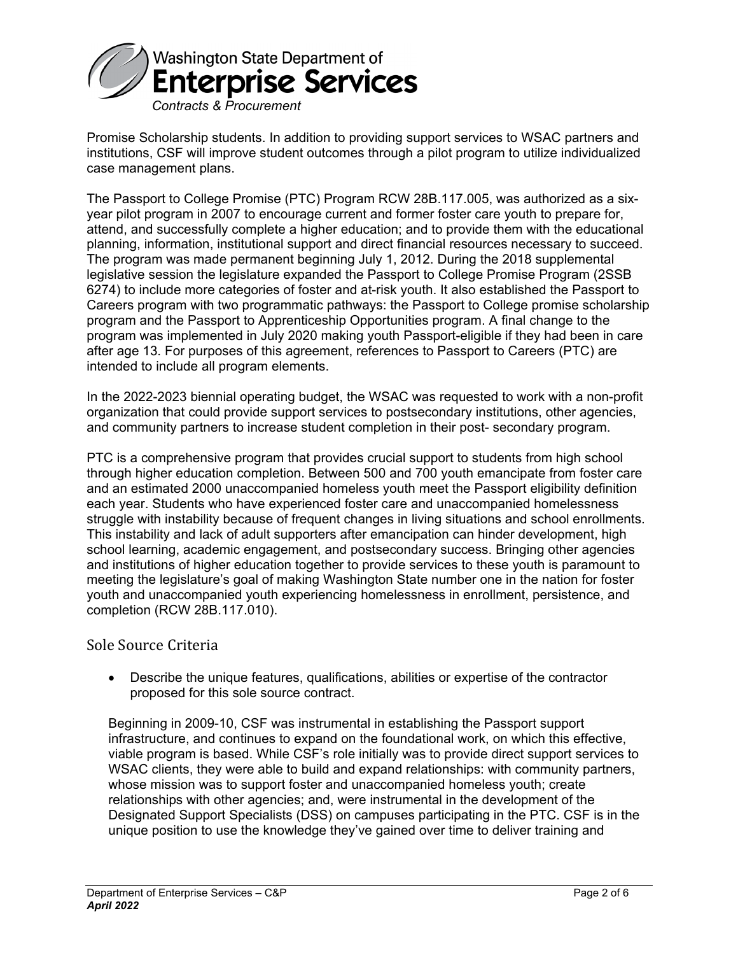

Promise Scholarship students. In addition to providing support services to WSAC partners and institutions, CSF will improve student outcomes through a pilot program to utilize individualized case management plans.

The Passport to College Promise (PTC) Program RCW 28B.117.005, was authorized as a sixyear pilot program in 2007 to encourage current and former foster care youth to prepare for, attend, and successfully complete a higher education; and to provide them with the educational planning, information, institutional support and direct financial resources necessary to succeed. The program was made permanent beginning July 1, 2012. During the 2018 supplemental legislative session the legislature expanded the Passport to College Promise Program (2SSB 6274) to include more categories of foster and at-risk youth. It also established the Passport to Careers program with two programmatic pathways: the Passport to College promise scholarship program and the Passport to Apprenticeship Opportunities program. A final change to the program was implemented in July 2020 making youth Passport-eligible if they had been in care after age 13. For purposes of this agreement, references to Passport to Careers (PTC) are intended to include all program elements.

In the 2022-2023 biennial operating budget, the WSAC was requested to work with a non-profit organization that could provide support services to postsecondary institutions, other agencies, and community partners to increase student completion in their post- secondary program.

PTC is a comprehensive program that provides crucial support to students from high school through higher education completion. Between 500 and 700 youth emancipate from foster care and an estimated 2000 unaccompanied homeless youth meet the Passport eligibility definition each year. Students who have experienced foster care and unaccompanied homelessness struggle with instability because of frequent changes in living situations and school enrollments. This instability and lack of adult supporters after emancipation can hinder development, high school learning, academic engagement, and postsecondary success. Bringing other agencies and institutions of higher education together to provide services to these youth is paramount to meeting the legislature's goal of making Washington State number one in the nation for foster youth and unaccompanied youth experiencing homelessness in enrollment, persistence, and completion (RCW 28B.117.010).

#### Sole Source Criteria

 Describe the unique features, qualifications, abilities or expertise of the contractor proposed for this sole source contract.

Beginning in 2009-10, CSF was instrumental in establishing the Passport support infrastructure, and continues to expand on the foundational work, on which this effective, viable program is based. While CSF's role initially was to provide direct support services to WSAC clients, they were able to build and expand relationships: with community partners, whose mission was to support foster and unaccompanied homeless youth; create relationships with other agencies; and, were instrumental in the development of the Designated Support Specialists (DSS) on campuses participating in the PTC. CSF is in the unique position to use the knowledge they've gained over time to deliver training and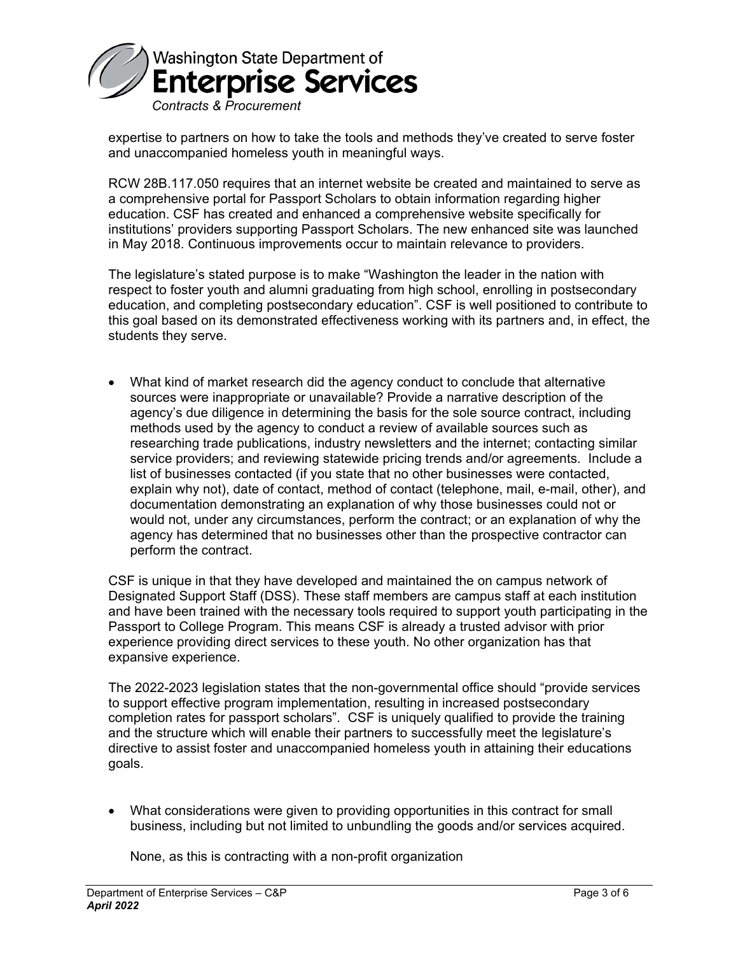

expertise to partners on how to take the tools and methods they've created to serve foster and unaccompanied homeless youth in meaningful ways.

RCW 28B.117.050 requires that an internet website be created and maintained to serve as a comprehensive portal for Passport Scholars to obtain information regarding higher education. CSF has created and enhanced a comprehensive website specifically for institutions' providers supporting Passport Scholars. The new enhanced site was launched in May 2018. Continuous improvements occur to maintain relevance to providers.

The legislature's stated purpose is to make "Washington the leader in the nation with respect to foster youth and alumni graduating from high school, enrolling in postsecondary education, and completing postsecondary education". CSF is well positioned to contribute to this goal based on its demonstrated effectiveness working with its partners and, in effect, the students they serve.

 What kind of market research did the agency conduct to conclude that alternative sources were inappropriate or unavailable? Provide a narrative description of the agency's due diligence in determining the basis for the sole source contract, including methods used by the agency to conduct a review of available sources such as researching trade publications, industry newsletters and the internet; contacting similar service providers; and reviewing statewide pricing trends and/or agreements. Include a list of businesses contacted (if you state that no other businesses were contacted, explain why not), date of contact, method of contact (telephone, mail, e-mail, other), and documentation demonstrating an explanation of why those businesses could not or would not, under any circumstances, perform the contract; or an explanation of why the agency has determined that no businesses other than the prospective contractor can perform the contract.

CSF is unique in that they have developed and maintained the on campus network of Designated Support Staff (DSS). These staff members are campus staff at each institution and have been trained with the necessary tools required to support youth participating in the Passport to College Program. This means CSF is already a trusted advisor with prior experience providing direct services to these youth. No other organization has that expansive experience.

The 2022-2023 legislation states that the non-governmental office should "provide services to support effective program implementation, resulting in increased postsecondary completion rates for passport scholars". CSF is uniquely qualified to provide the training and the structure which will enable their partners to successfully meet the legislature's directive to assist foster and unaccompanied homeless youth in attaining their educations goals.

 What considerations were given to providing opportunities in this contract for small business, including but not limited to unbundling the goods and/or services acquired.

None, as this is contracting with a non-profit organization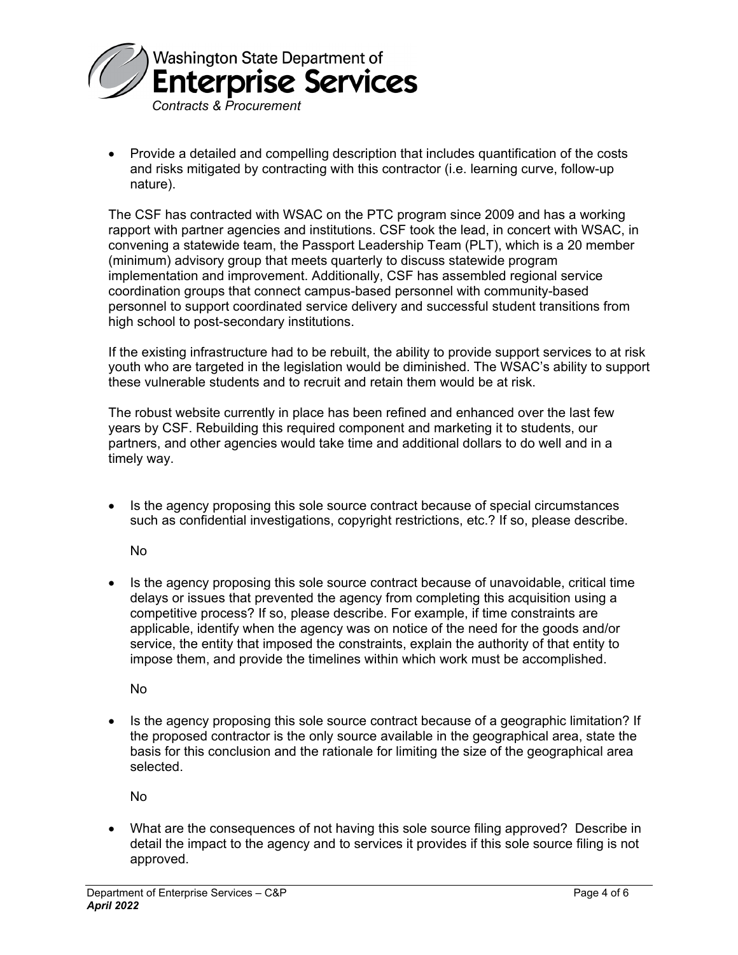

 Provide a detailed and compelling description that includes quantification of the costs and risks mitigated by contracting with this contractor (i.e. learning curve, follow-up nature).

The CSF has contracted with WSAC on the PTC program since 2009 and has a working rapport with partner agencies and institutions. CSF took the lead, in concert with WSAC, in convening a statewide team, the Passport Leadership Team (PLT), which is a 20 member (minimum) advisory group that meets quarterly to discuss statewide program implementation and improvement. Additionally, CSF has assembled regional service coordination groups that connect campus-based personnel with community-based personnel to support coordinated service delivery and successful student transitions from high school to post-secondary institutions.

If the existing infrastructure had to be rebuilt, the ability to provide support services to at risk youth who are targeted in the legislation would be diminished. The WSAC's ability to support these vulnerable students and to recruit and retain them would be at risk.

The robust website currently in place has been refined and enhanced over the last few years by CSF. Rebuilding this required component and marketing it to students, our partners, and other agencies would take time and additional dollars to do well and in a timely way.

 Is the agency proposing this sole source contract because of special circumstances such as confidential investigations, copyright restrictions, etc.? If so, please describe.

No

 Is the agency proposing this sole source contract because of unavoidable, critical time delays or issues that prevented the agency from completing this acquisition using a competitive process? If so, please describe. For example, if time constraints are applicable, identify when the agency was on notice of the need for the goods and/or service, the entity that imposed the constraints, explain the authority of that entity to impose them, and provide the timelines within which work must be accomplished.

No

 Is the agency proposing this sole source contract because of a geographic limitation? If the proposed contractor is the only source available in the geographical area, state the basis for this conclusion and the rationale for limiting the size of the geographical area selected.

No

 What are the consequences of not having this sole source filing approved? Describe in detail the impact to the agency and to services it provides if this sole source filing is not approved.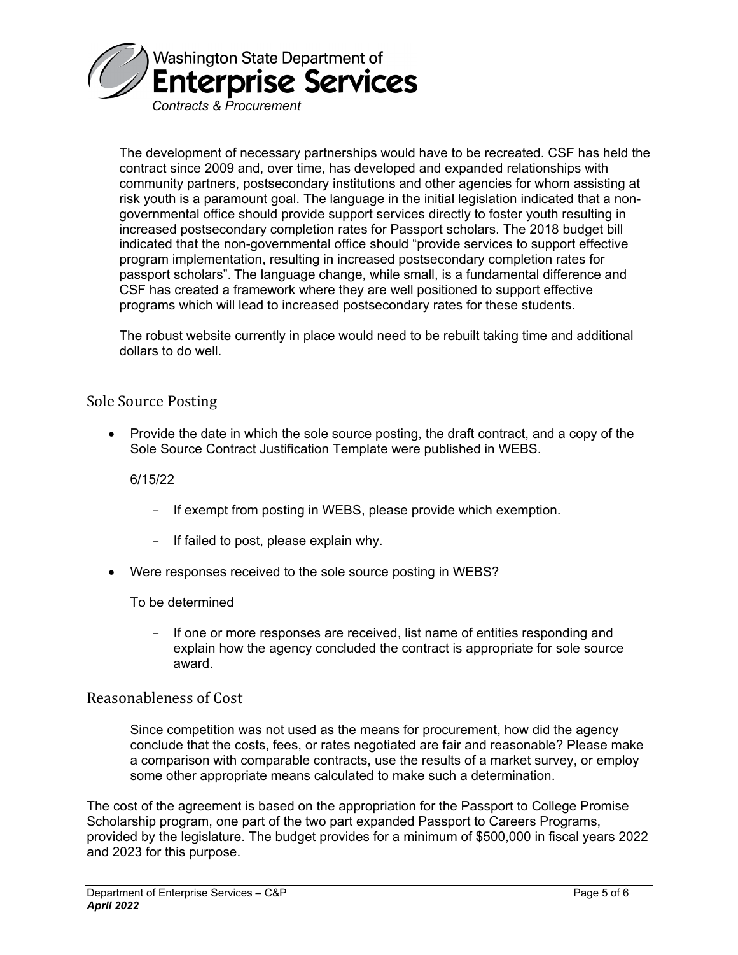

The development of necessary partnerships would have to be recreated. CSF has held the contract since 2009 and, over time, has developed and expanded relationships with community partners, postsecondary institutions and other agencies for whom assisting at risk youth is a paramount goal. The language in the initial legislation indicated that a nongovernmental office should provide support services directly to foster youth resulting in increased postsecondary completion rates for Passport scholars. The 2018 budget bill indicated that the non-governmental office should "provide services to support effective program implementation, resulting in increased postsecondary completion rates for passport scholars". The language change, while small, is a fundamental difference and CSF has created a framework where they are well positioned to support effective programs which will lead to increased postsecondary rates for these students.

The robust website currently in place would need to be rebuilt taking time and additional dollars to do well.

#### Sole Source Posting

• Provide the date in which the sole source posting, the draft contract, and a copy of the Sole Source Contract Justification Template were published in WEBS.

6/15/22

- If exempt from posting in WEBS, please provide which exemption.
- If failed to post, please explain why.
- Were responses received to the sole source posting in WEBS?

#### To be determined

- If one or more responses are received, list name of entities responding and explain how the agency concluded the contract is appropriate for sole source award.

#### Reasonableness of Cost

Since competition was not used as the means for procurement, how did the agency conclude that the costs, fees, or rates negotiated are fair and reasonable? Please make a comparison with comparable contracts, use the results of a market survey, or employ some other appropriate means calculated to make such a determination.

The cost of the agreement is based on the appropriation for the Passport to College Promise Scholarship program, one part of the two part expanded Passport to Careers Programs, provided by the legislature. The budget provides for a minimum of \$500,000 in fiscal years 2022 and 2023 for this purpose.